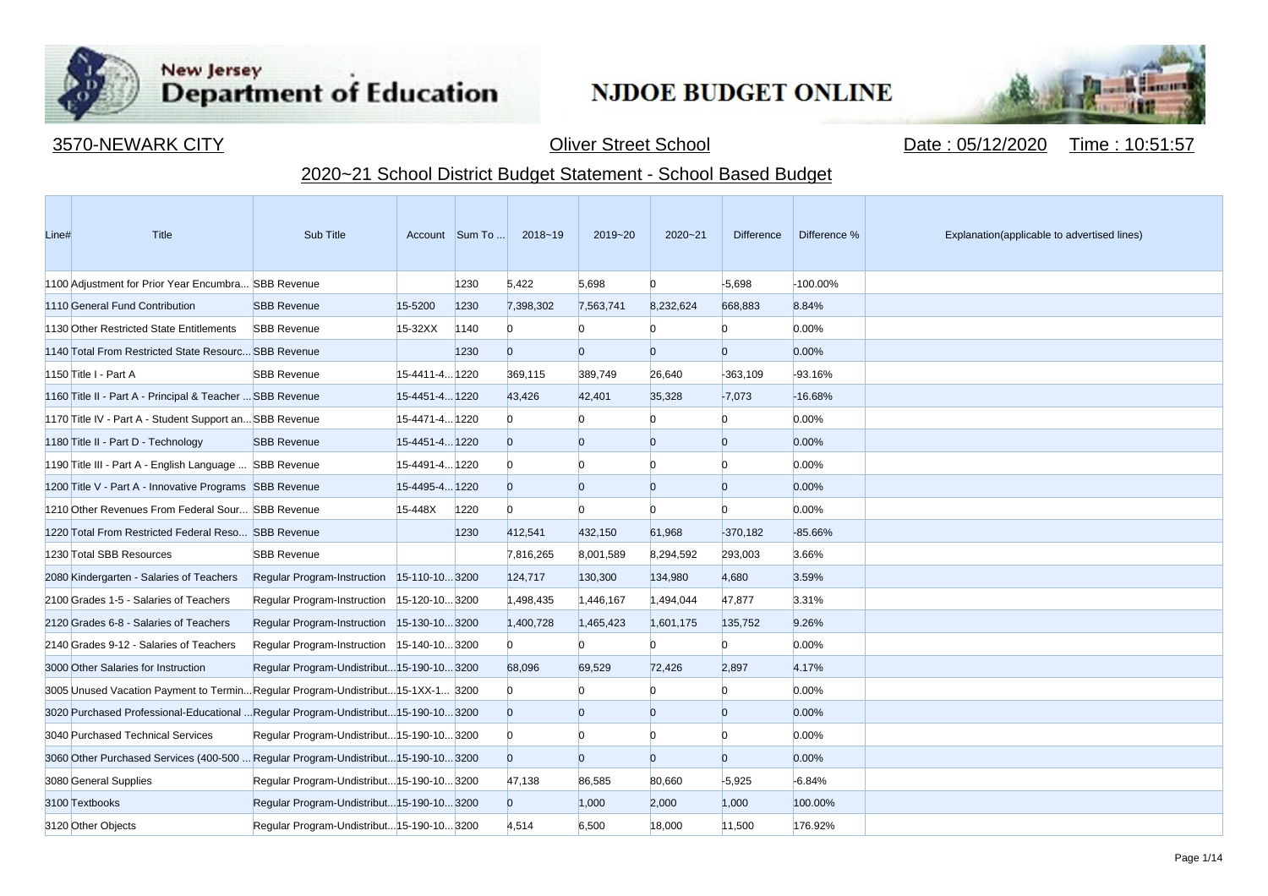

**Contract Contract** 

## New Jersey<br>Department of Education

## **NJDOE BUDGET ONLINE**



3570-NEWARK CITY Oliver Street School Date : 05/12/2020 Time : 10:51:57

## 2020~21 School District Budget Statement - School Based Budget

| Line# | Title                                                                               | Sub Title                                  |                | Account Sum To | 2018~19        | 2019~20        | $2020 - 21$ | <b>Difference</b> | Difference % | Explanation(applicable to advertised lines) |
|-------|-------------------------------------------------------------------------------------|--------------------------------------------|----------------|----------------|----------------|----------------|-------------|-------------------|--------------|---------------------------------------------|
|       | 1100 Adjustment for Prior Year Encumbra SBB Revenue                                 |                                            |                | 1230           | 5,422          | 5,698          | $\Omega$    | $-5,698$          | -100.00%     |                                             |
|       | 1110 General Fund Contribution                                                      | <b>SBB Revenue</b>                         | 15-5200        | 1230           | 7,398,302      | 7.563.741      | 8.232.624   | 668.883           | 8.84%        |                                             |
|       | 1130 Other Restricted State Entitlements                                            | <b>SBB Revenue</b>                         | 15-32XX        | 1140           | $\Omega$       | $\Omega$       | n           | $\Omega$          | 0.00%        |                                             |
|       | 1140 Total From Restricted State Resourc SBB Revenue                                |                                            |                | 1230           | $\overline{0}$ | $\overline{0}$ | $\Omega$    | $\overline{0}$    | 0.00%        |                                             |
|       | 1150 Title I - Part A                                                               | <b>SBB Revenue</b>                         | 15-4411-4 1220 |                | 369,115        | 389,749        | 26,640      | $-363,109$        | $-93.16%$    |                                             |
|       | 1160 Title II - Part A - Principal & Teacher  SBB Revenue                           |                                            | 15-4451-4 1220 |                | 43,426         | 42,401         | 35,328      | $-7,073$          | $-16.68%$    |                                             |
|       | 1170 Title IV - Part A - Student Support an SBB Revenue                             |                                            | 15-4471-4 1220 |                | $\overline{0}$ |                |             | $\overline{0}$    | 0.00%        |                                             |
|       | 1180 Title II - Part D - Technology                                                 | <b>SBB Revenue</b>                         | 15-4451-4 1220 |                | $\overline{0}$ | $\overline{0}$ | $\Omega$    | $\overline{0}$    | 0.00%        |                                             |
|       | 1190 Title III - Part A - English Language  SBB Revenue                             |                                            | 15-4491-4 1220 |                | $\Omega$       | $\Omega$       | n           | n                 | 0.00%        |                                             |
|       | 1200 Title V - Part A - Innovative Programs SBB Revenue                             |                                            | 15-4495-4 1220 |                | $\overline{0}$ | $\Omega$       | $\Omega$    | $\overline{0}$    | 0.00%        |                                             |
|       | 1210 Other Revenues From Federal Sour SBB Revenue                                   |                                            | 15-448X        | 1220           | $\Omega$       | $\Omega$       | n           | $\Omega$          | 0.00%        |                                             |
|       | 1220 Total From Restricted Federal Reso SBB Revenue                                 |                                            |                | 1230           | 412,541        | 432,150        | 61,968      | $-370,182$        | $-85.66%$    |                                             |
|       | 1230 Total SBB Resources                                                            | <b>SBB Revenue</b>                         |                |                | 7,816,265      | 8,001,589      | 8,294,592   | 293,003           | 3.66%        |                                             |
|       | 2080 Kindergarten - Salaries of Teachers                                            | Regular Program-Instruction 15-110-103200  |                |                | 124,717        | 130,300        | 134,980     | 4,680             | 3.59%        |                                             |
|       | 2100 Grades 1-5 - Salaries of Teachers                                              | Regular Program-Instruction 15-120-103200  |                |                | 1,498,435      | 1,446,167      | 1,494,044   | 47,877            | 3.31%        |                                             |
|       | 2120 Grades 6-8 - Salaries of Teachers                                              | Regular Program-Instruction 15-130-103200  |                |                | 1,400,728      | 1,465,423      | 1,601,175   | 135,752           | 9.26%        |                                             |
|       | 2140 Grades 9-12 - Salaries of Teachers                                             | Regular Program-Instruction 15-140-103200  |                |                | $\Omega$       | n              | n           | $\Omega$          | 0.00%        |                                             |
|       | 3000 Other Salaries for Instruction                                                 | Regular Program-Undistribut 15-190-10 3200 |                |                | 68,096         | 69,529         | 72,426      | 2,897             | 4.17%        |                                             |
|       | 3005 Unused Vacation Payment to TerminRegular Program-Undistribut15-1XX-1 3200      |                                            |                |                | $\mathbf{0}$   |                |             | n.                | 0.00%        |                                             |
|       | 3020 Purchased Professional-Educational  Regular Program-Undistribut 15-190-10 3200 |                                            |                |                | $\Omega$       | $\Omega$       | $\Omega$    | $\overline{0}$    | 0.00%        |                                             |
|       | 3040 Purchased Technical Services                                                   | Regular Program-Undistribut 15-190-10 3200 |                |                | $\Omega$       | $\Omega$       |             | $\Omega$          | 0.00%        |                                             |
|       | 3060 Other Purchased Services (400-500  Regular Program-Undistribut 15-190-10 3200  |                                            |                |                | $\overline{0}$ | $\Omega$       | $\Omega$    | $\overline{0}$    | 0.00%        |                                             |
|       | 3080 General Supplies                                                               | Regular Program-Undistribut 15-190-10 3200 |                |                | 47,138         | 86,585         | 80,660      | $-5,925$          | $-6.84%$     |                                             |
|       | 3100 Textbooks                                                                      | Regular Program-Undistribut 15-190-10 3200 |                |                | $\overline{0}$ | 1,000          | 2,000       | 1,000             | 100.00%      |                                             |
|       | 3120 Other Objects                                                                  | Regular Program-Undistribut 15-190-10 3200 |                |                | 4,514          | 6,500          | 18,000      | 11,500            | 176.92%      |                                             |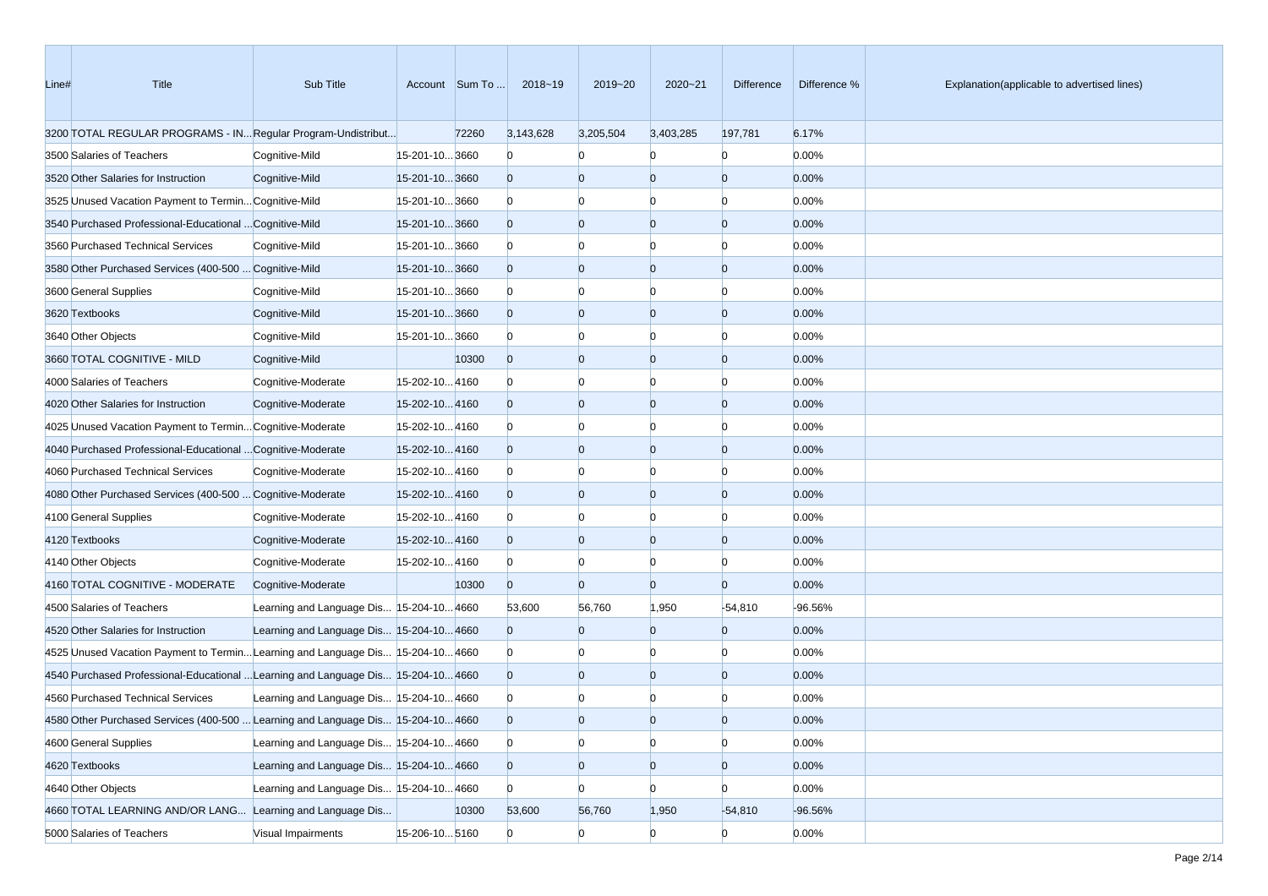| Line# | Title                                                                             | Sub Title                                |                | Account Sum To | 2018~19        | 2019~20        | 2020~21        | Difference     | Difference % | Explanation(applicable to advertised lines) |
|-------|-----------------------------------------------------------------------------------|------------------------------------------|----------------|----------------|----------------|----------------|----------------|----------------|--------------|---------------------------------------------|
|       | 3200 TOTAL REGULAR PROGRAMS - IN Regular Program-Undistribut                      |                                          |                | 72260          | 3,143,628      | 3,205,504      | 3,403,285      | 197,781        | 6.17%        |                                             |
|       | 3500 Salaries of Teachers                                                         | Cognitive-Mild                           | 15-201-10 3660 |                | $\mathbf{0}$   | $\Omega$       | n              | $\overline{0}$ | 0.00%        |                                             |
|       | 3520 Other Salaries for Instruction                                               | Cognitive-Mild                           | 15-201-103660  |                | $\overline{0}$ | $\overline{0}$ | $\overline{0}$ | $\overline{0}$ | 0.00%        |                                             |
|       | 3525 Unused Vacation Payment to Termin Cognitive-Mild                             |                                          | 15-201-103660  |                | $\mathbf{0}$   | $\Omega$       | Ю              | n              | 0.00%        |                                             |
|       | 3540 Purchased Professional-Educational  Cognitive-Mild                           |                                          | 15-201-103660  |                | $\overline{0}$ | $\overline{0}$ | $\overline{0}$ | $\Omega$       | 0.00%        |                                             |
|       | 3560 Purchased Technical Services                                                 | Cognitive-Mild                           | 15-201-103660  |                | $\bf{0}$       | $\Omega$       | $\Omega$       | n              | 0.00%        |                                             |
|       | 3580 Other Purchased Services (400-500  Cognitive-Mild                            |                                          | 15-201-103660  |                | $\overline{0}$ | $\overline{0}$ | $\overline{0}$ | $\Omega$       | 0.00%        |                                             |
|       | 3600 General Supplies                                                             | Cognitive-Mild                           | 15-201-103660  |                | $\Omega$       | $\Omega$       | $\Omega$       | n              | 0.00%        |                                             |
|       | 3620 Textbooks                                                                    | Cognitive-Mild                           | 15-201-10 3660 |                | $\overline{0}$ | $\overline{0}$ | $\overline{0}$ | $\Omega$       | 0.00%        |                                             |
|       | 3640 Other Objects                                                                | Cognitive-Mild                           | 15-201-103660  |                | $\Omega$       | $\overline{0}$ | $\Omega$       | n              | 0.00%        |                                             |
|       | 3660 TOTAL COGNITIVE - MILD                                                       | Cognitive-Mild                           |                | 10300          | $\overline{0}$ | $\overline{0}$ | $\overline{0}$ | $\overline{0}$ | 0.00%        |                                             |
|       | 4000 Salaries of Teachers                                                         | Cognitive-Moderate                       | 15-202-104160  |                | $\bf{0}$       | $\bf{0}$       | $\Omega$       | n              | 0.00%        |                                             |
|       | 4020 Other Salaries for Instruction                                               | Cognitive-Moderate                       | 15-202-104160  |                | $\overline{0}$ | $\overline{0}$ | $\overline{0}$ | $\Omega$       | 0.00%        |                                             |
|       | 4025 Unused Vacation Payment to Termin Cognitive-Moderate                         |                                          | 15-202-104160  |                | $\bf{0}$       | $\Omega$       | $\Omega$       | n              | 0.00%        |                                             |
|       | 4040 Purchased Professional-Educational  Cognitive-Moderate                       |                                          | 15-202-104160  |                | $\overline{0}$ | $\overline{0}$ | $\overline{0}$ | $\Omega$       | 0.00%        |                                             |
|       | 4060 Purchased Technical Services                                                 | Cognitive-Moderate                       | 15-202-104160  |                | $\Omega$       | $\Omega$       | $\Omega$       | n              | 0.00%        |                                             |
|       | 4080 Other Purchased Services (400-500  Cognitive-Moderate                        |                                          | 15-202-104160  |                | $\overline{0}$ | $\overline{0}$ | $\overline{0}$ | $\overline{0}$ | 0.00%        |                                             |
|       | 4100 General Supplies                                                             | Cognitive-Moderate                       | 15-202-104160  |                | $\mathbf{0}$   | $\overline{0}$ | $\Omega$       | n              | 0.00%        |                                             |
|       | 4120 Textbooks                                                                    | Cognitive-Moderate                       | 15-202-104160  |                | $\overline{0}$ | $\overline{0}$ | $\overline{0}$ | $\overline{0}$ | 0.00%        |                                             |
|       | 4140 Other Objects                                                                | Cognitive-Moderate                       | 15-202-104160  |                | $\mathbf{0}$   | $\overline{0}$ | $\Omega$       | n              | 0.00%        |                                             |
|       | 4160 TOTAL COGNITIVE - MODERATE                                                   | Cognitive-Moderate                       |                | 10300          | $\mathbf{0}$   | $\Omega$       | $\Omega$       | $\Omega$       | 0.00%        |                                             |
|       | 4500 Salaries of Teachers                                                         | Learning and Language Dis 15-204-10 4660 |                |                | 53,600         | 56,760         | 1,950          | $-54,810$      | -96.56%      |                                             |
|       | 4520 Other Salaries for Instruction                                               | Learning and Language Dis 15-204-10 4660 |                |                | $\overline{0}$ | $\overline{0}$ | $\overline{0}$ | $\overline{0}$ | 0.00%        |                                             |
|       | 4525 Unused Vacation Payment to Termin Learning and Language Dis 15-204-10 4660   |                                          |                |                | $\Omega$       | $\Omega$       | $\Omega$       | $\Omega$       | 0.00%        |                                             |
|       | 4540 Purchased Professional-Educational  Learning and Language Dis 15-204-10 4660 |                                          |                |                | $\overline{0}$ | $\overline{0}$ | $\overline{0}$ | $\Omega$       | 0.00%        |                                             |
|       | 4560 Purchased Technical Services                                                 | Learning and Language Dis 15-204-10 4660 |                |                | $\mathbf{0}$   |                |                |                | 0.00%        |                                             |
|       | 4580 Other Purchased Services (400-500  Learning and Language Dis 15-204-10 4660  |                                          |                |                | $\Omega$       | $\Omega$       | $\Omega$       |                | 0.00%        |                                             |
|       | 4600 General Supplies                                                             | Learning and Language Dis 15-204-10 4660 |                |                | $\overline{0}$ | $\overline{0}$ | $\overline{0}$ | $\overline{0}$ | 0.00%        |                                             |
|       | 4620 Textbooks                                                                    | Learning and Language Dis 15-204-10 4660 |                |                | $\overline{0}$ | $\overline{0}$ | $\mathbf{0}$   | $\overline{0}$ | 0.00%        |                                             |
|       | 4640 Other Objects                                                                | Learning and Language Dis 15-204-10 4660 |                |                | $\Omega$       | $\overline{0}$ | $\overline{0}$ | $\overline{0}$ | 0.00%        |                                             |
|       | 4660 TOTAL LEARNING AND/OR LANG Learning and Language Dis                         |                                          |                | 10300          | 53,600         | 56,760         | 1,950          | $-54,810$      | -96.56%      |                                             |
|       | 5000 Salaries of Teachers                                                         | Visual Impairments                       | 15-206-10 5160 |                | $\overline{0}$ | $\overline{0}$ | $\Omega$       | $\overline{0}$ | 0.00%        |                                             |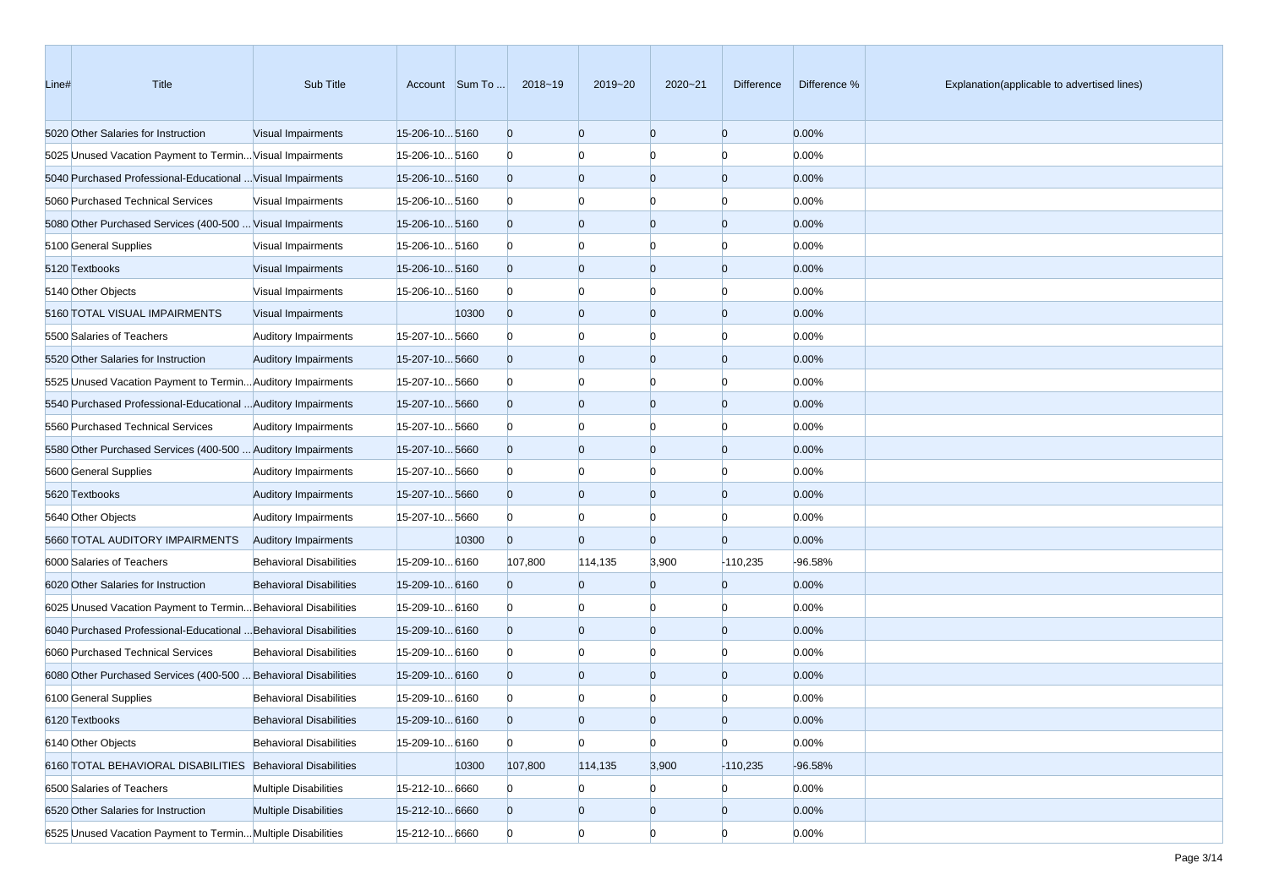| Line# | Title                                                            | Sub Title                      |                      | Account Sum To | 2018~19        | 2019~20        | 2020~21        | Difference     | Difference % | Explanation(applicable to advertised lines) |
|-------|------------------------------------------------------------------|--------------------------------|----------------------|----------------|----------------|----------------|----------------|----------------|--------------|---------------------------------------------|
|       | 5020 Other Salaries for Instruction                              | Visual Impairments             | 15-206-105160        |                | $\overline{0}$ | $\overline{0}$ | $\overline{0}$ | $\overline{0}$ | 0.00%        |                                             |
|       | 5025 Unused Vacation Payment to Termin Visual Impairments        |                                | 15-206-105160        |                | $\mathbf{0}$   | $\Omega$       | $\Omega$       | $\Omega$       | 0.00%        |                                             |
|       | 5040 Purchased Professional-Educational  Visual Impairments      |                                | 15-206-105160        |                | $\overline{0}$ | $\overline{0}$ | $\overline{0}$ | $\overline{0}$ | 0.00%        |                                             |
|       | 5060 Purchased Technical Services                                | <b>Visual Impairments</b>      | 15-206-105160        |                | $\mathbf{0}$   | $\Omega$       | $\Omega$       | n              | 0.00%        |                                             |
|       | 5080 Other Purchased Services (400-500  Visual Impairments       |                                | 15-206-105160        |                | $\overline{0}$ | $\Omega$       | $\overline{0}$ | $\Omega$       | 0.00%        |                                             |
|       | 5100 General Supplies                                            | Visual Impairments             | 15-206-105160        |                | $\mathbf{0}$   | $\Omega$       | $\Omega$       | n              | 0.00%        |                                             |
|       | 5120 Textbooks                                                   | Visual Impairments             | 15-206-10 5160       |                | $\overline{0}$ | $\overline{0}$ | $\overline{0}$ | $\overline{0}$ | 0.00%        |                                             |
|       | 5140 Other Objects                                               | Visual Impairments             | 15-206-105160        |                | $\mathbf{0}$   | $\Omega$       | $\Omega$       | $\Omega$       | 0.00%        |                                             |
|       | 5160 TOTAL VISUAL IMPAIRMENTS                                    | Visual Impairments             |                      | 10300          | $\overline{0}$ | $\Omega$       | $\overline{0}$ | $\Omega$       | 0.00%        |                                             |
|       | 5500 Salaries of Teachers                                        | <b>Auditory Impairments</b>    | 15-207-105660        |                | $\mathbf{0}$   | $\Omega$       | $\Omega$       | O              | 0.00%        |                                             |
|       | 5520 Other Salaries for Instruction                              | <b>Auditory Impairments</b>    | 15-207-105660        |                | $\overline{0}$ | $\Omega$       | $\overline{0}$ | $\Omega$       | 0.00%        |                                             |
|       | 5525 Unused Vacation Payment to Termin Auditory Impairments      |                                | 15-207-10 5660       |                | $\mathbf{0}$   | $\Omega$       | $\Omega$       | n              | 0.00%        |                                             |
|       | 5540 Purchased Professional-Educational  Auditory Impairments    |                                | 15-207-105660        |                | $\overline{0}$ | $\Omega$       | $\overline{0}$ | $\overline{0}$ | 0.00%        |                                             |
|       | 5560 Purchased Technical Services                                | <b>Auditory Impairments</b>    | 15-207-105660        |                | $\mathbf{0}$   | $\Omega$       | $\Omega$       | $\Omega$       | 0.00%        |                                             |
|       | 5580 Other Purchased Services (400-500  Auditory Impairments     |                                | 15-207-105660        |                | $\overline{0}$ | $\Omega$       | $\overline{0}$ | $\Omega$       | 0.00%        |                                             |
|       | 5600 General Supplies                                            | <b>Auditory Impairments</b>    | 15-207-105660        |                | $\mathbf{0}$   | $\Omega$       | $\Omega$       | n              | 0.00%        |                                             |
|       | 5620 Textbooks                                                   | <b>Auditory Impairments</b>    | 15-207-105660        |                | $\overline{0}$ | $\Omega$       | $\overline{0}$ | $\Omega$       | 0.00%        |                                             |
|       | 5640 Other Objects                                               | <b>Auditory Impairments</b>    | 15-207-105660        |                | $\mathbf{0}$   | $\Omega$       | $\Omega$       | n              | 0.00%        |                                             |
|       | 5660 TOTAL AUDITORY IMPAIRMENTS                                  | <b>Auditory Impairments</b>    |                      | 10300          | $\overline{0}$ | $\Omega$       | $\Omega$       | $\overline{0}$ | 0.00%        |                                             |
|       | 6000 Salaries of Teachers                                        | <b>Behavioral Disabilities</b> | 15-209-10 6160       |                | 107,800        | 114,135        | 3,900          | $-110,235$     | $-96.58%$    |                                             |
|       | 6020 Other Salaries for Instruction                              | <b>Behavioral Disabilities</b> | 15-209-10 6160       |                | $\overline{0}$ | $\Omega$       | $\Omega$       | $\overline{0}$ | 0.00%        |                                             |
|       | 6025 Unused Vacation Payment to Termin Behavioral Disabilities   |                                | 15-209-10 6160       |                | $\mathbf{0}$   | $\Omega$       | $\Omega$       | n              | 0.00%        |                                             |
|       | 6040 Purchased Professional-Educational  Behavioral Disabilities |                                | $15 - 209 - 10 6160$ |                | $\overline{0}$ | $\Omega$       | $\overline{0}$ | $\Omega$       | 0.00%        |                                             |
|       | 6060 Purchased Technical Services                                | <b>Behavioral Disabilities</b> | 15-209-10 6160       |                | $\mathbf{0}$   | $\Omega$       | $\Omega$       | n              | 0.00%        |                                             |
|       | 6080 Other Purchased Services (400-500  Behavioral Disabilities  |                                | 15-209-10 6160       |                | $\overline{0}$ | $\Omega$       | $\overline{0}$ | $\Omega$       | 0.00%        |                                             |
|       | 6100 General Supplies                                            | <b>Behavioral Disabilities</b> | 15-209-10 6160       |                | $\mathbf{0}$   |                |                |                | 0.00%        |                                             |
|       | 6120 Textbooks                                                   | <b>Behavioral Disabilities</b> | 15-209-10 6160       |                | $\Omega$       | $\Omega$       | $\Omega$       | n              | 0.00%        |                                             |
|       | 6140 Other Objects                                               | <b>Behavioral Disabilities</b> | 15-209-10 6160       |                | $\overline{0}$ | $\overline{0}$ | $\overline{0}$ | $\overline{0}$ | 0.00%        |                                             |
|       | 6160 TOTAL BEHAVIORAL DISABILITIES Behavioral Disabilities       |                                |                      | 10300          | 107,800        | 114,135        | 3,900          | $-110,235$     | -96.58%      |                                             |
|       | 6500 Salaries of Teachers                                        | <b>Multiple Disabilities</b>   | 15-212-10 6660       |                | $\bf{0}$       | $\mathbf{0}$   | $\overline{0}$ | $\overline{0}$ | 0.00%        |                                             |
|       | 6520 Other Salaries for Instruction                              | <b>Multiple Disabilities</b>   | 15-212-106660        |                | $\overline{0}$ | $\mathbf{0}$   | $\overline{0}$ | $\overline{0}$ | 0.00%        |                                             |
|       | 6525 Unused Vacation Payment to Termin Multiple Disabilities     |                                | 15-212-10 6660       |                | $\overline{0}$ | $\overline{0}$ | $\Omega$       | $\overline{0}$ | 0.00%        |                                             |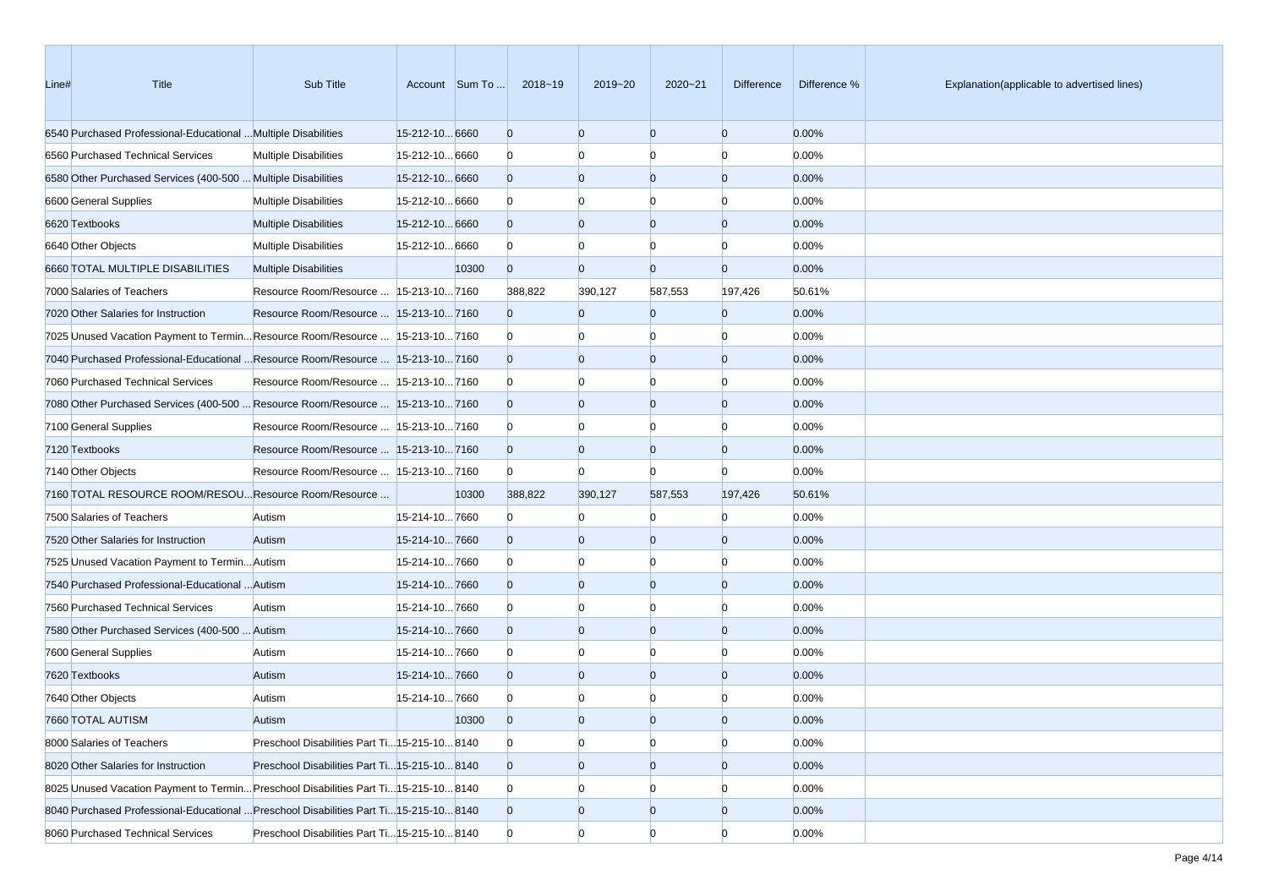| Line# | Title                                                                                 | Sub Title                                     |                | Account Sum To | 2018~19        | 2019~20        | 2020~21        | Difference     | Difference % | Explanation(applicable to advertised lines) |
|-------|---------------------------------------------------------------------------------------|-----------------------------------------------|----------------|----------------|----------------|----------------|----------------|----------------|--------------|---------------------------------------------|
|       | 6540 Purchased Professional-Educational  Multiple Disabilities                        |                                               | 15-212-10 6660 |                | $\overline{0}$ | $\overline{0}$ | $\overline{0}$ | $\overline{0}$ | 0.00%        |                                             |
|       | 6560 Purchased Technical Services                                                     | <b>Multiple Disabilities</b>                  | 15-212-10 6660 |                | $\bf{0}$       | $\Omega$       | $\Omega$       | $\Omega$       | 0.00%        |                                             |
|       | 6580 Other Purchased Services (400-500  Multiple Disabilities                         |                                               | 15-212-10 6660 |                | $\overline{0}$ | $\overline{0}$ | $\overline{0}$ | $\overline{0}$ | 0.00%        |                                             |
|       | 6600 General Supplies                                                                 | <b>Multiple Disabilities</b>                  | 15-212-10 6660 |                | $\Omega$       | $\Omega$       | $\Omega$       | $\Omega$       | 0.00%        |                                             |
|       | 6620 Textbooks                                                                        | <b>Multiple Disabilities</b>                  | 15-212-10 6660 |                | $\overline{0}$ | $\overline{0}$ | $\overline{0}$ | $\Omega$       | 0.00%        |                                             |
|       | 6640 Other Objects                                                                    | <b>Multiple Disabilities</b>                  | 15-212-10 6660 |                | $\Omega$       | $\Omega$       | $\Omega$       | n              | 0.00%        |                                             |
|       | 6660 TOTAL MULTIPLE DISABILITIES                                                      | <b>Multiple Disabilities</b>                  |                | 10300          | $\overline{0}$ | $\Omega$       | $\Omega$       | $\overline{0}$ | 0.00%        |                                             |
|       | 7000 Salaries of Teachers                                                             | Resource Room/Resource   15-213-10 7160       |                |                | 388,822        | 390,127        | 587,553        | 197,426        | 50.61%       |                                             |
|       | 7020 Other Salaries for Instruction                                                   | Resource Room/Resource   15-213-10 7160       |                |                | $\overline{0}$ | $\overline{0}$ | $\Omega$       | $\overline{0}$ | 0.00%        |                                             |
|       | 7025 Unused Vacation Payment to TerminResource Room/Resource  15-213-107160           |                                               |                |                | $\bf{0}$       | $\Omega$       | $\Omega$       | $\Omega$       | 0.00%        |                                             |
|       | 7040 Purchased Professional-Educational  Resource Room/Resource  15-213-10 7160       |                                               |                |                | $\overline{0}$ | $\overline{0}$ | $\overline{0}$ | $\overline{0}$ | 0.00%        |                                             |
|       | 7060 Purchased Technical Services                                                     | Resource Room/Resource   15-213-10 7160       |                |                | $\Omega$       | $\Omega$       | $\Omega$       | n              | 0.00%        |                                             |
|       | 7080 Other Purchased Services (400-500  Resource Room/Resource  15-213-10 7160        |                                               |                |                | $\overline{0}$ | $\overline{0}$ | $\overline{0}$ | $\Omega$       | 0.00%        |                                             |
|       | 7100 General Supplies                                                                 | Resource Room/Resource   15-213-10 7160       |                |                | $\Omega$       | $\Omega$       | $\Omega$       | n              | 0.00%        |                                             |
|       | 7120 Textbooks                                                                        | Resource Room/Resource   15-213-10 7160       |                |                | $\overline{0}$ | $\overline{0}$ | $\Omega$       | $\Omega$       | 0.00%        |                                             |
|       | 7140 Other Objects                                                                    | Resource Room/Resource   15-213-10 7160       |                |                | $\Omega$       | $\Omega$       | n              | $\Omega$       | 0.00%        |                                             |
|       | 7160 TOTAL RESOURCE ROOM/RESOU Resource Room/Resource                                 |                                               |                | 10300          | 388,822        | 390,127        | 587,553        | 197,426        | 50.61%       |                                             |
|       | 7500 Salaries of Teachers                                                             | Autism                                        | 15-214-107660  |                | $\mathbf{0}$   | $\Omega$       | $\Omega$       | $\Omega$       | 0.00%        |                                             |
|       | 7520 Other Salaries for Instruction                                                   | Autism                                        | 15-214-107660  |                | $\mathbf{0}$   | $\overline{0}$ | $\overline{0}$ | $\overline{0}$ | 0.00%        |                                             |
|       | 7525 Unused Vacation Payment to Termin Autism                                         |                                               | 15-214-107660  |                | $\Omega$       | $\Omega$       | $\Omega$       | n              | 0.00%        |                                             |
|       | 7540 Purchased Professional-Educational  Autism                                       |                                               | 15-214-107660  |                | $\overline{0}$ | $\overline{0}$ | $\overline{0}$ | $\Omega$       | 0.00%        |                                             |
|       | 7560 Purchased Technical Services                                                     | Autism                                        | 15-214-107660  |                | $\Omega$       | $\Omega$       | $\Omega$       | n              | 0.00%        |                                             |
|       | 7580 Other Purchased Services (400-500  Autism                                        |                                               | 15-214-107660  |                | $\overline{0}$ | $\overline{0}$ | $\Omega$       | $\Omega$       | 0.00%        |                                             |
|       | 7600 General Supplies                                                                 | Autism                                        | 15-214-107660  |                | $\Omega$       | $\Omega$       | $\Omega$       | n              | 0.00%        |                                             |
|       | 7620 Textbooks                                                                        | Autism                                        | 15-214-107660  |                | $\overline{0}$ | $\overline{0}$ | $\overline{0}$ | $\Omega$       | 0.00%        |                                             |
|       | 7640 Other Objects                                                                    | Autism                                        | 15-214-107660  |                | $\Omega$       |                |                |                | 0.00%        |                                             |
|       | 7660 TOTAL AUTISM                                                                     | Autism                                        |                | 10300          | $\Omega$       | $\Omega$       | $\Omega$       |                | 0.00%        |                                             |
|       | 8000 Salaries of Teachers                                                             | Preschool Disabilities Part Ti 15-215-10 8140 |                |                | $\mathbf{0}$   | $\overline{0}$ | $\overline{0}$ | $\overline{0}$ | 0.00%        |                                             |
|       | 8020 Other Salaries for Instruction                                                   | Preschool Disabilities Part Ti 15-215-10 8140 |                |                | $\mathbf{0}$   | $\overline{0}$ | $\mathbf{0}$   | $\overline{0}$ | 0.00%        |                                             |
|       | 8025 Unused Vacation Payment to Termin Preschool Disabilities Part Ti 15-215-10 8140  |                                               |                |                | $\mathbf{0}$   | $\bf{0}$       | $\bf{0}$       | n              | 0.00%        |                                             |
|       | 8040 Purchased Professional-Educational  Preschool Disabilities Part Ti15-215-10 8140 |                                               |                |                | $\mathbf{0}$   | $\mathbf{0}$   | $\mathbf{0}$   | $\overline{0}$ | 0.00%        |                                             |
|       | 8060 Purchased Technical Services                                                     | Preschool Disabilities Part Ti 15-215-10 8140 |                |                | $\mathbf{0}$   | $\overline{0}$ | $\Omega$       | $\Omega$       | 0.00%        |                                             |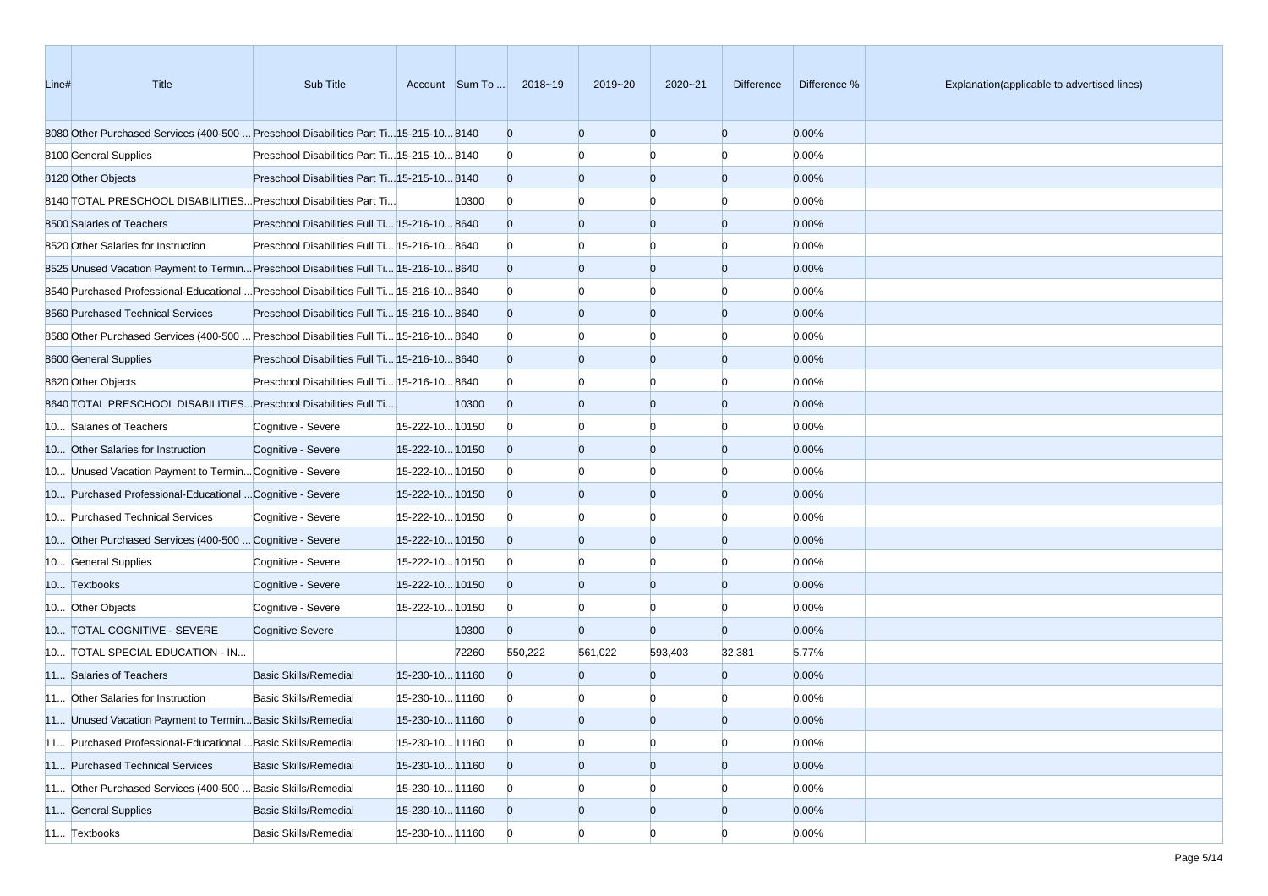| Line# | Title                                                                                  | Sub Title                                     |                 | Account Sum To | 2018~19        | 2019~20        | 2020~21        | Difference     | Difference % | Explanation(applicable to advertised lines) |
|-------|----------------------------------------------------------------------------------------|-----------------------------------------------|-----------------|----------------|----------------|----------------|----------------|----------------|--------------|---------------------------------------------|
|       | 8080 Other Purchased Services (400-500  Preschool Disabilities Part Ti15-215-10 8140   |                                               |                 |                | $\mathbf{0}$   | $\overline{0}$ | $\overline{0}$ | $\overline{0}$ | 0.00%        |                                             |
|       | 8100 General Supplies                                                                  | Preschool Disabilities Part Ti 15-215-10 8140 |                 |                | $\mathbf{0}$   | n              |                | n              | 0.00%        |                                             |
|       | 8120 Other Objects                                                                     | Preschool Disabilities Part Ti 15-215-10 8140 |                 |                | $\overline{0}$ | $\overline{0}$ | $\overline{0}$ | $\mathbf{0}$   | 0.00%        |                                             |
|       | 8140 TOTAL PRESCHOOL DISABILITIES Preschool Disabilities Part Ti                       |                                               |                 | 10300          | $\mathbf{0}$   | $\Omega$       | n              | n              | 0.00%        |                                             |
|       | 8500 Salaries of Teachers                                                              | Preschool Disabilities Full Ti 15-216-10 8640 |                 |                | $\mathbf{0}$   | $\overline{0}$ | $\overline{0}$ | $\mathbf{0}$   | 0.00%        |                                             |
|       | 8520 Other Salaries for Instruction                                                    | Preschool Disabilities Full Ti 15-216-10 8640 |                 |                | $\mathbf{0}$   | $\Omega$       | $\Omega$       | $\Omega$       | 0.00%        |                                             |
|       | 8525 Unused Vacation Payment to Termin Preschool Disabilities Full Ti 15-216-10 8640   |                                               |                 |                | $\overline{0}$ | $\overline{0}$ | $\overline{0}$ | $\mathbf{0}$   | 0.00%        |                                             |
|       | 8640 Purchased Professional-Educational  Preschool Disabilities Full Ti 15-216-10 8640 |                                               |                 |                | $\bf{0}$       | n              | n              | n              | 0.00%        |                                             |
|       | 8560 Purchased Technical Services                                                      | Preschool Disabilities Full Ti 15-216-10 8640 |                 |                | $\overline{0}$ | $\overline{0}$ | $\overline{0}$ | $\mathbf{0}$   | 0.00%        |                                             |
|       | 8680 Other Purchased Services (400-500  Preschool Disabilities Full Ti 15-216-10 8640  |                                               |                 |                | $\mathbf{0}$   | n              |                | n              | 0.00%        |                                             |
|       | 8600 General Supplies                                                                  | Preschool Disabilities Full Ti 15-216-10 8640 |                 |                | $\overline{0}$ | $\overline{0}$ | $\overline{0}$ | $\mathbf{0}$   | 0.00%        |                                             |
|       | 8620 Other Objects                                                                     | Preschool Disabilities Full Ti 15-216-10 8640 |                 |                | $\bf{0}$       | $\Omega$       | n              | n              | 0.00%        |                                             |
|       | 8640 TOTAL PRESCHOOL DISABILITIES Preschool Disabilities Full Ti                       |                                               |                 | 10300          | $\mathbf{0}$   | $\overline{0}$ | $\overline{0}$ | $\mathbf{0}$   | 0.00%        |                                             |
|       | 10 Salaries of Teachers                                                                | Cognitive - Severe                            | 15-222-10 10150 |                | $\bf{0}$       | $\Omega$       | $\Omega$       | n              | 0.00%        |                                             |
|       | 10 Other Salaries for Instruction                                                      | Cognitive - Severe                            | 15-222-1010150  |                | $\overline{0}$ | $\overline{0}$ | $\overline{0}$ | $\mathbf{0}$   | 0.00%        |                                             |
|       | 10 Unused Vacation Payment to Termin Cognitive - Severe                                |                                               | 15-222-10 10150 |                | $\bf{0}$       | n              | n              | n              | 0.00%        |                                             |
|       | 10 Purchased Professional-Educational  Cognitive - Severe                              |                                               | 15-222-10 10150 |                | $\overline{0}$ | $\overline{0}$ | $\overline{0}$ | $\mathbf{0}$   | 0.00%        |                                             |
|       | 10 Purchased Technical Services                                                        | Cognitive - Severe                            | 15-222-10 10150 |                | $\bf{0}$       | n              |                | n              | 0.00%        |                                             |
|       | 10 Other Purchased Services (400-500  Cognitive - Severe                               |                                               | 15-222-10 10150 |                | $\overline{0}$ | $\overline{0}$ | $\overline{0}$ | $\mathbf{0}$   | 0.00%        |                                             |
|       | 10 General Supplies                                                                    | Cognitive - Severe                            | 15-222-10 10150 |                | $\bf{0}$       | $\Omega$       | n              | $\Omega$       | 0.00%        |                                             |
|       | 10 Textbooks                                                                           | Cognitive - Severe                            | 15-222-10 10150 |                | $\overline{0}$ | $\overline{0}$ | $\overline{0}$ | $\mathbf{0}$   | 0.00%        |                                             |
|       | 10 Other Objects                                                                       | Cognitive - Severe                            | 15-222-10 10150 |                | $\bf{0}$       | $\Omega$       | n              | $\Omega$       | 0.00%        |                                             |
|       | 10 TOTAL COGNITIVE - SEVERE                                                            | <b>Cognitive Severe</b>                       |                 | 10300          | $\overline{0}$ | $\overline{0}$ | $\Omega$       | $\mathbf{0}$   | 0.00%        |                                             |
|       | 10 TOTAL SPECIAL EDUCATION - IN                                                        |                                               |                 | 72260          | 550,222        | 561,022        | 593,403        | 32,381         | 5.77%        |                                             |
|       | 11 Salaries of Teachers                                                                | <b>Basic Skills/Remedial</b>                  | 15-230-10 11160 |                | $\Omega$       | $\mathbf{0}$   | $\Omega$       | $\overline{0}$ | 0.00%        |                                             |
|       | 11 Other Salaries for Instruction                                                      | <b>Basic Skills/Remedial</b>                  | 15-230-10 11160 |                | $\bf{0}$       | n              |                | n              | 0.00%        |                                             |
|       | 11 Unused Vacation Payment to Termin Basic Skills/Remedial                             |                                               | 15-230-10 11160 |                | $\Omega$       | $\Omega$       | $\Omega$       | $\Omega$       | 0.00%        |                                             |
|       | 11 Purchased Professional-Educational  Basic Skills/Remedial                           |                                               | 15-230-10 11160 |                | $\overline{0}$ | $\overline{0}$ | $\overline{0}$ | $\overline{0}$ | 0.00%        |                                             |
|       | 11 Purchased Technical Services                                                        | <b>Basic Skills/Remedial</b>                  | 15-230-10 11160 |                | $\overline{0}$ | $\mathbf{0}$   | $\overline{0}$ | $\overline{0}$ | 0.00%        |                                             |
|       | 11 Other Purchased Services (400-500  Basic Skills/Remedial                            |                                               | 15-230-10 11160 |                | $\mathbf{0}$   | $\overline{0}$ |                | $\Omega$       | 0.00%        |                                             |
|       | 11 General Supplies                                                                    | <b>Basic Skills/Remedial</b>                  | 15-230-10 11160 |                | $\overline{0}$ | $\mathbf{0}$   | $\mathbf{0}$   | $\overline{0}$ | 0.00%        |                                             |
|       | 11 Textbooks                                                                           | Basic Skills/Remedial                         | 15-230-10 11160 |                | $\overline{0}$ | $\overline{0}$ | $\Omega$       | $\Omega$       | 0.00%        |                                             |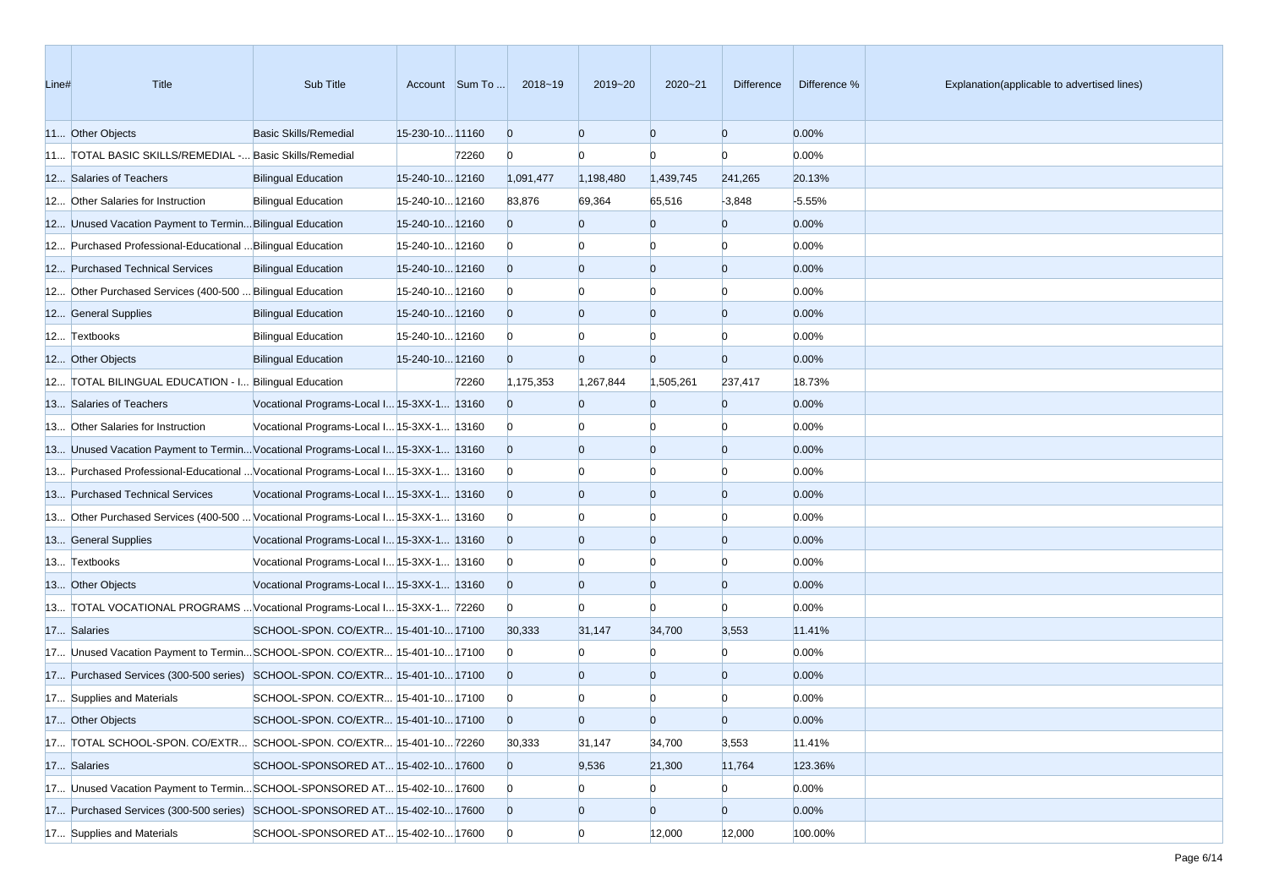| Line# | Title                                                                             | Sub Title                                  |                 | Account Sum To | 2018~19        | 2019~20        | 2020~21        | Difference     | Difference % | Explanation(applicable to advertised lines) |
|-------|-----------------------------------------------------------------------------------|--------------------------------------------|-----------------|----------------|----------------|----------------|----------------|----------------|--------------|---------------------------------------------|
|       | 11 Other Objects                                                                  | <b>Basic Skills/Remedial</b>               | 15-230-10 11160 |                | $\overline{0}$ | $\Omega$       | $\overline{0}$ | $\overline{0}$ | 0.00%        |                                             |
|       | 11 TOTAL BASIC SKILLS/REMEDIAL - Basic Skills/Remedial                            |                                            |                 | 72260          | $\overline{0}$ | $\Omega$       | $\Omega$       | $\Omega$       | 0.00%        |                                             |
|       | 12 Salaries of Teachers                                                           | <b>Bilingual Education</b>                 | 15-240-10 12160 |                | 1,091,477      | 1,198,480      | 1,439,745      | 241,265        | 20.13%       |                                             |
|       | 12 Other Salaries for Instruction                                                 | <b>Bilingual Education</b>                 | 15-240-10 12160 |                | 83,876         | 69,364         | 65,516         | $-3,848$       | $-5.55%$     |                                             |
|       | 12 Unused Vacation Payment to Termin Bilingual Education                          |                                            | 15-240-10 12160 |                | $\overline{0}$ | $\Omega$       | $\Omega$       | $\overline{0}$ | 0.00%        |                                             |
|       | 12 Purchased Professional-Educational  Bilingual Education                        |                                            | 15-240-10 12160 |                | $\overline{0}$ | $\Omega$       | $\Omega$       | $\Omega$       | 0.00%        |                                             |
|       | 12 Purchased Technical Services                                                   | <b>Bilingual Education</b>                 | 15-240-10 12160 |                | $\overline{0}$ | $\overline{0}$ | $\overline{0}$ | $\overline{0}$ | 0.00%        |                                             |
|       | 12 Other Purchased Services (400-500  Bilingual Education                         |                                            | 15-240-10 12160 |                | $\overline{0}$ |                | $\Omega$       | $\Omega$       | 0.00%        |                                             |
|       | 12 General Supplies                                                               | <b>Bilingual Education</b>                 | 15-240-10 12160 |                | $\overline{0}$ | $\Omega$       | $\overline{0}$ | $\overline{0}$ | 0.00%        |                                             |
|       | 12 Textbooks                                                                      | <b>Bilingual Education</b>                 | 15-240-10 12160 |                | $\overline{0}$ |                |                | $\Omega$       | 0.00%        |                                             |
|       | 12 Other Objects                                                                  | <b>Bilingual Education</b>                 | 15-240-10 12160 |                | $\overline{0}$ | $\Omega$       | $\overline{0}$ | $\overline{0}$ | 0.00%        |                                             |
|       | 12 TOTAL BILINGUAL EDUCATION - I Bilingual Education                              |                                            |                 | 72260          | 1,175,353      | 1,267,844      | 1,505,261      | 237,417        | 18.73%       |                                             |
|       | 13 Salaries of Teachers                                                           | Vocational Programs-Local I 15-3XX-1 13160 |                 |                | $\overline{0}$ | $\Omega$       | $\overline{0}$ | $\overline{0}$ | 0.00%        |                                             |
|       | 13 Other Salaries for Instruction                                                 | Vocational Programs-Local I 15-3XX-1 13160 |                 |                | $\overline{0}$ |                | $\Omega$       | $\Omega$       | 0.00%        |                                             |
|       | 13 Unused Vacation Payment to TerminVocational Programs-Local I 15-3XX-1 13160    |                                            |                 |                | $\overline{0}$ | $\Omega$       | $\overline{0}$ | $\overline{0}$ | 0.00%        |                                             |
|       | 13 Purchased Professional-Educational  Vocational Programs-Local I 15-3XX-1 13160 |                                            |                 |                | $\overline{0}$ |                |                | n              | 0.00%        |                                             |
|       | 13 Purchased Technical Services                                                   | Vocational Programs-Local I 15-3XX-1 13160 |                 |                | $\overline{0}$ | $\Omega$       | $\overline{0}$ | $\overline{0}$ | 0.00%        |                                             |
|       | 13 Other Purchased Services (400-500  Vocational Programs-Local I 15-3XX-1 13160  |                                            |                 |                | $\overline{0}$ |                | $\Omega$       | $\Omega$       | 0.00%        |                                             |
|       | 13 General Supplies                                                               | Vocational Programs-Local I 15-3XX-1 13160 |                 |                | $\overline{0}$ | $\Omega$       | $\overline{0}$ | $\overline{0}$ | 0.00%        |                                             |
|       | 13 Textbooks                                                                      | Vocational Programs-Local I 15-3XX-1 13160 |                 |                | $\overline{0}$ |                | $\Omega$       | $\Omega$       | 0.00%        |                                             |
|       | 13 Other Objects                                                                  | Vocational Programs-Local I 15-3XX-1 13160 |                 |                | $\overline{0}$ | $\Omega$       | $\overline{0}$ | $\overline{0}$ | 0.00%        |                                             |
|       | 13 TOTAL VOCATIONAL PROGRAMS  Vocational Programs-Local I 15-3XX-1 72260          |                                            |                 |                | $\overline{0}$ | $\Omega$       | $\Omega$       | n              | 0.00%        |                                             |
|       | 17 Salaries                                                                       | SCHOOL-SPON. CO/EXTR 15-401-10 17100       |                 |                | 30,333         | 31,147         | 34,700         | 3,553          | 11.41%       |                                             |
|       | 17 Unused Vacation Payment to TerminSCHOOL-SPON. CO/EXTR 15-401-10 17100          |                                            |                 |                | $\overline{0}$ |                | $\Omega$       | $\Omega$       | 0.00%        |                                             |
|       | 17 Purchased Services (300-500 series) SCHOOL-SPON. CO/EXTR 15-401-10 17100       |                                            |                 |                | $\overline{0}$ | $\Omega$       | $\overline{0}$ | $\overline{0}$ | 0.00%        |                                             |
|       | 17 Supplies and Materials                                                         | SCHOOL-SPON. CO/EXTR 15-401-10 17100       |                 |                | $\overline{0}$ |                |                |                | 0.00%        |                                             |
|       | 17 Other Objects                                                                  | SCHOOL-SPON. CO/EXTR 15-401-10 17100       |                 |                | $\Omega$       | $\Omega$       | $\Omega$       | $\Omega$       | 0.00%        |                                             |
|       | 17 TOTAL SCHOOL-SPON. CO/EXTR SCHOOL-SPON. CO/EXTR 15-401-1072260                 |                                            |                 |                | 30,333         | 31,147         | 34,700         | 3,553          | 11.41%       |                                             |
|       | 17 Salaries                                                                       | SCHOOL-SPONSORED AT 15-402-10 17600        |                 |                | $\overline{0}$ | 9,536          | 21,300         | 11,764         | 123.36%      |                                             |
|       | 17 Unused Vacation Payment to TerminSCHOOL-SPONSORED AT 15-402-10 17600           |                                            |                 |                | $\overline{0}$ | $\Omega$       | $\overline{0}$ | $\bf{0}$       | 0.00%        |                                             |
|       | 17 Purchased Services (300-500 series) SCHOOL-SPONSORED AT 15-402-10 17600        |                                            |                 |                | $\overline{0}$ | $\mathbf{0}$   | $\overline{0}$ | $\overline{0}$ | 0.00%        |                                             |
|       | 17 Supplies and Materials                                                         | SCHOOL-SPONSORED AT 15-402-10 17600        |                 |                | $\overline{0}$ | $\overline{0}$ | 12,000         | 12,000         | 100.00%      |                                             |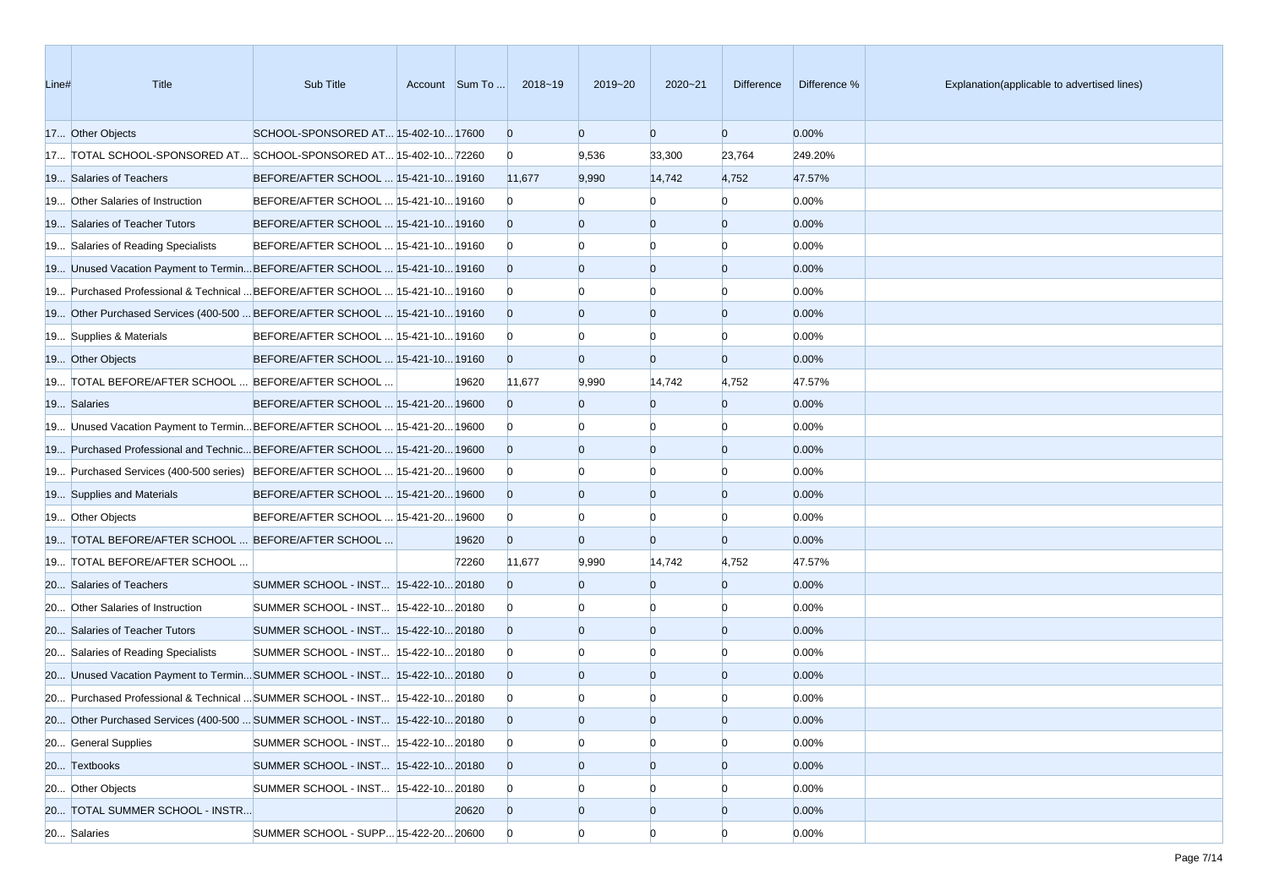| Line# | Title                                                                        | Sub Title                             |       | Account Sum To  2018~19 | 2019~20        | 2020~21        | Difference     | Difference % | Explanation(applicable to advertised lines) |
|-------|------------------------------------------------------------------------------|---------------------------------------|-------|-------------------------|----------------|----------------|----------------|--------------|---------------------------------------------|
|       | 17 Other Objects                                                             | SCHOOL-SPONSORED AT 15-402-10 17600   |       | $\overline{0}$          | $\overline{0}$ | $\mathbf{0}$   | $\mathbf{0}$   | 0.00%        |                                             |
|       | 17 TOTAL SCHOOL-SPONSORED AT SCHOOL-SPONSORED AT 15-402-10 72260             |                                       |       | $\overline{0}$          | 9,536          | 33,300         | 23,764         | 249.20%      |                                             |
|       | 19 Salaries of Teachers                                                      | BEFORE/AFTER SCHOOL  15-421-10 19160  |       | 11,677                  | 9,990          | 14,742         | 4,752          | 47.57%       |                                             |
|       | 19 Other Salaries of Instruction                                             | BEFORE/AFTER SCHOOL  15-421-10 19160  |       | $\mathbf{0}$            | n              |                | $\Omega$       | 0.00%        |                                             |
|       | 19 Salaries of Teacher Tutors                                                | BEFORE/AFTER SCHOOL  15-421-10 19160  |       | $\overline{0}$          | $\Omega$       | $\Omega$       | $\mathbf{0}$   | 0.00%        |                                             |
|       | 19 Salaries of Reading Specialists                                           | BEFORE/AFTER SCHOOL  15-421-10 19160  |       | $\overline{0}$          |                |                | $\Omega$       | 0.00%        |                                             |
|       | 19 Unused Vacation Payment to TerminBEFORE/AFTER SCHOOL  15-421-10 19160     |                                       |       | $\overline{0}$          | $\overline{0}$ | $\overline{0}$ | $\overline{0}$ | 0.00%        |                                             |
|       | 19 Purchased Professional & Technical  BEFORE/AFTER SCHOOL  15-421-10 19160  |                                       |       | $\overline{0}$          |                |                | $\Omega$       | 0.00%        |                                             |
|       | 19 Other Purchased Services (400-500  BEFORE/AFTER SCHOOL  15-421-10 19160   |                                       |       | $\overline{0}$          | $\mathbf{0}$   | $\overline{0}$ | $\mathbf{0}$   | 0.00%        |                                             |
|       | 19 Supplies & Materials                                                      | BEFORE/AFTER SCHOOL  15-421-10 19160  |       | $\overline{0}$          | $\Omega$       | $\Omega$       | $\Omega$       | 0.00%        |                                             |
|       | 19 Other Objects                                                             | BEFORE/AFTER SCHOOL  15-421-10 19160  |       | $\overline{0}$          | $\overline{0}$ | $\overline{0}$ | $\mathbf{0}$   | 0.00%        |                                             |
|       | 19 TOTAL BEFORE/AFTER SCHOOL  BEFORE/AFTER SCHOOL                            |                                       | 19620 | 11,677                  | 9,990          | 14,742         | 4,752          | 47.57%       |                                             |
|       | 19 Salaries                                                                  | BEFORE/AFTER SCHOOL  15-421-20 19600  |       | $\Omega$                | $\Omega$       | $\Omega$       | $\overline{0}$ | 0.00%        |                                             |
|       | 19 Unused Vacation Payment to TerminBEFORE/AFTER SCHOOL  15-421-2019600      |                                       |       | $\overline{0}$          | $\Omega$       |                | $\Omega$       | 0.00%        |                                             |
|       | 19 Purchased Professional and Technic BEFORE/AFTER SCHOOL  15-421-20 19600   |                                       |       | $\overline{0}$          | $\overline{0}$ | $\Omega$       | $\overline{0}$ | 0.00%        |                                             |
|       | 19 Purchased Services (400-500 series) BEFORE/AFTER SCHOOL  15-421-20 19600  |                                       |       | $\overline{0}$          |                |                | $\Omega$       | 0.00%        |                                             |
|       | 19 Supplies and Materials                                                    | BEFORE/AFTER SCHOOL  15-421-20 19600  |       | $\overline{0}$          | $\mathbf{0}$   | $\overline{0}$ | $\overline{0}$ | 0.00%        |                                             |
|       | 19 Other Objects                                                             | BEFORE/AFTER SCHOOL  15-421-20 19600  |       | $\mathbf{0}$            | $\Omega$       | $\Omega$       | $\Omega$       | 0.00%        |                                             |
|       | 19 TOTAL BEFORE/AFTER SCHOOL  BEFORE/AFTER SCHOOL                            |                                       | 19620 | $\overline{0}$          | $\overline{0}$ | $\overline{0}$ | $\overline{0}$ | 0.00%        |                                             |
|       | 19 TOTAL BEFORE/AFTER SCHOOL                                                 |                                       | 72260 | 11,677                  | 9,990          | 14,742         | 4,752          | 47.57%       |                                             |
|       | 20 Salaries of Teachers                                                      | SUMMER SCHOOL - INST 15-422-10 20180  |       | $\Omega$                | $\Omega$       | $\Omega$       | $\overline{0}$ | 0.00%        |                                             |
|       | 20 Other Salaries of Instruction                                             | SUMMER SCHOOL - INST  15-422-10 20180 |       | $\overline{0}$          |                |                | $\Omega$       | 0.00%        |                                             |
|       | 20 Salaries of Teacher Tutors                                                | SUMMER SCHOOL - INST 15-422-10 20180  |       | $\overline{0}$          | $\overline{0}$ | $\Omega$       | $\overline{0}$ | 0.00%        |                                             |
|       | 20 Salaries of Reading Specialists                                           | SUMMER SCHOOL - INST 15-422-10 20180  |       | $\overline{0}$          |                | $\Omega$       | $\Omega$       | 0.00%        |                                             |
|       | 20 Unused Vacation Payment to TerminSUMMER SCHOOL - INST 15-422-1020180      |                                       |       | $\overline{0}$          | $\mathbf{0}$   | $\overline{0}$ | $\overline{0}$ | 0.00%        |                                             |
|       | 20 Purchased Professional & Technical  SUMMER SCHOOL - INST  15-422-10 20180 |                                       |       | $\mathbf{0}$            |                |                |                | 0.00%        |                                             |
|       | 20 Other Purchased Services (400-500  SUMMER SCHOOL - INST 15-422-10 20180   |                                       |       | $\overline{0}$          | $\Omega$       | $\Omega$       | $\Omega$       | 0.00%        |                                             |
|       | 20 General Supplies                                                          | SUMMER SCHOOL - INST 15-422-10 20180  |       | $\overline{0}$          | $\overline{0}$ | $\Omega$       | $\overline{0}$ | 0.00%        |                                             |
|       | 20 Textbooks                                                                 | SUMMER SCHOOL - INST 15-422-10 20180  |       | $\overline{0}$          | $\overline{0}$ | $\overline{0}$ | $\overline{0}$ | 0.00%        |                                             |
|       | 20 Other Objects                                                             | SUMMER SCHOOL - INST  15-422-10 20180 |       | $\mathbf{0}$            | $\overline{0}$ | $\Omega$       | $\Omega$       | 0.00%        |                                             |
|       | 20 TOTAL SUMMER SCHOOL - INSTR                                               |                                       | 20620 | $\mathbf{0}$            | $\mathbf{0}$   | $\overline{0}$ | $\overline{0}$ | 0.00%        |                                             |
|       | 20 Salaries                                                                  | SUMMER SCHOOL - SUPP 15-422-20 20600  |       | $\overline{0}$          | $\overline{0}$ | $\Omega$       | $\Omega$       | 0.00%        |                                             |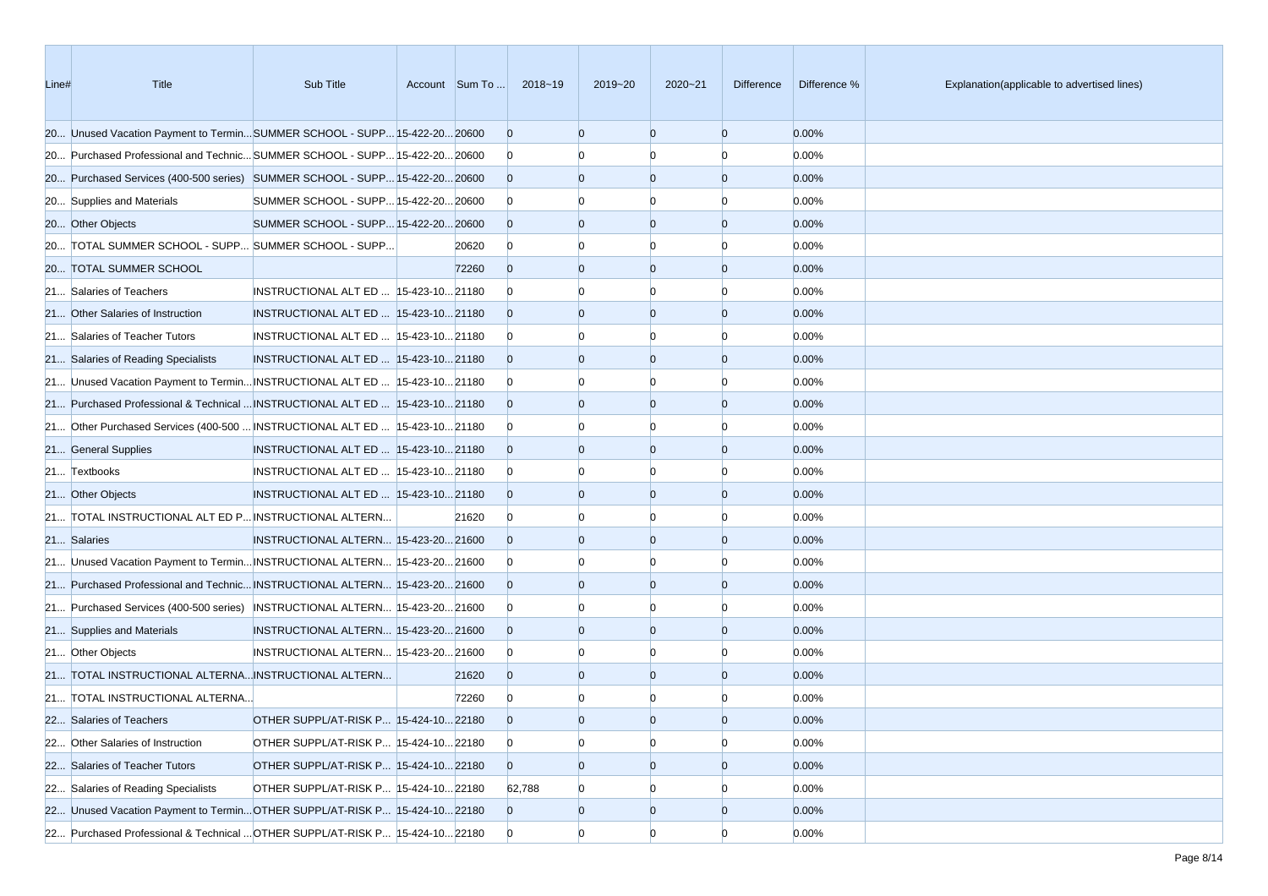| Line# | Title                                                                         | Sub Title                              | Account Sum To | 2018~19        | 2019~20        | $2020 - 21$    | <b>Difference</b> | Difference % | Explanation(applicable to advertised lines) |
|-------|-------------------------------------------------------------------------------|----------------------------------------|----------------|----------------|----------------|----------------|-------------------|--------------|---------------------------------------------|
|       | 20 Unused Vacation Payment to TerminSUMMER SCHOOL - SUPP 15-422-20 20600      |                                        |                | $\overline{0}$ | $\overline{0}$ | $\overline{0}$ | $\overline{0}$    | 0.00%        |                                             |
|       | 20 Purchased Professional and Technic SUMMER SCHOOL - SUPP 15-422-20 20600    |                                        |                | $\overline{0}$ | n              | n              | $\Omega$          | 0.00%        |                                             |
|       | 20 Purchased Services (400-500 series) SUMMER SCHOOL - SUPP 15-422-20 20600   |                                        |                | $\Omega$       | $\overline{0}$ | $\overline{0}$ | $\overline{0}$    | 0.00%        |                                             |
|       | 20 Supplies and Materials                                                     | SUMMER SCHOOL - SUPP 15-422-20 20600   |                | $\overline{0}$ |                |                | n                 | 0.00%        |                                             |
|       | 20 Other Objects                                                              | SUMMER SCHOOL - SUPP 15-422-20 20600   |                | $\Omega$       | $\Omega$       | $\Omega$       | $\overline{0}$    | 0.00%        |                                             |
|       | 20 TOTAL SUMMER SCHOOL - SUPP SUMMER SCHOOL - SUPP                            |                                        | 20620          | $\overline{0}$ | $\Omega$       | $\Omega$       | $\Omega$          | 0.00%        |                                             |
|       | 20 TOTAL SUMMER SCHOOL                                                        |                                        | 72260          | $\Omega$       | $\overline{0}$ | $\overline{0}$ | $\overline{0}$    | 0.00%        |                                             |
|       | 21 Salaries of Teachers                                                       | INSTRUCTIONAL ALT ED   15-423-10 21180 |                | $\Omega$       |                | n              | n                 | 0.00%        |                                             |
|       | 21 Other Salaries of Instruction                                              | INSTRUCTIONAL ALT ED  15-423-10 21180  |                | $\Omega$       | $\Omega$       | $\overline{0}$ | $\overline{0}$    | 0.00%        |                                             |
|       | 21 Salaries of Teacher Tutors                                                 | INSTRUCTIONAL ALT ED  15-423-10 21180  |                | $\overline{0}$ |                | n              | $\Omega$          | 0.00%        |                                             |
|       | 21 Salaries of Reading Specialists                                            | INSTRUCTIONAL ALT ED  15-423-10 21180  |                | $\Omega$       | $\Omega$       | $\Omega$       | $\overline{0}$    | 0.00%        |                                             |
|       | 21 Unused Vacation Payment to Termin INSTRUCTIONAL ALT ED  15-423-10 21180    |                                        |                | $\overline{0}$ |                | n              | n                 | 0.00%        |                                             |
|       | 21 Purchased Professional & Technical  INSTRUCTIONAL ALT ED   15-423-10 21180 |                                        |                | $\overline{0}$ | $\Omega$       | $\Omega$       | $\overline{0}$    | 0.00%        |                                             |
|       | 21 Other Purchased Services (400-500  INSTRUCTIONAL ALT ED   15-423-10 21180  |                                        |                | $\overline{0}$ | n              | n              | $\Omega$          | 0.00%        |                                             |
|       | 21 General Supplies                                                           | INSTRUCTIONAL ALT ED  15-423-10 21180  |                | $\Omega$       | $\overline{0}$ | $\Omega$       | $\overline{0}$    | 0.00%        |                                             |
|       | 21 Textbooks                                                                  | INSTRUCTIONAL ALT ED  15-423-10 21180  |                | $\overline{0}$ |                |                | n                 | 0.00%        |                                             |
|       | 21 Other Objects                                                              | INSTRUCTIONAL ALT ED  15-423-10 21180  |                | $\Omega$       | $\Omega$       | $\Omega$       | $\overline{0}$    | 0.00%        |                                             |
|       | 21 TOTAL INSTRUCTIONAL ALT ED P INSTRUCTIONAL ALTERN                          |                                        | 21620          | $\bf{0}$       | $\Omega$       | n              | $\Omega$          | 0.00%        |                                             |
|       | 21 Salaries                                                                   | INSTRUCTIONAL ALTERN 15-423-20 21600   |                | $\Omega$       | $\overline{0}$ | $\overline{0}$ | $\overline{0}$    | 0.00%        |                                             |
|       | 21 Unused Vacation Payment to Termin INSTRUCTIONAL ALTERN 15-423-20 21600     |                                        |                | $\overline{0}$ | n              | n              | 0                 | 0.00%        |                                             |
|       | 21 Purchased Professional and Technic INSTRUCTIONAL ALTERN 15-423-20 21600    |                                        |                | $\Omega$       | $\Omega$       | $\overline{0}$ | $\overline{0}$    | 0.00%        |                                             |
|       | 21 Purchased Services (400-500 series) INSTRUCTIONAL ALTERN 15-423-20 21600   |                                        |                | $\overline{0}$ |                | n              | n                 | 0.00%        |                                             |
|       | 21 Supplies and Materials                                                     | INSTRUCTIONAL ALTERN 15-423-20 21600   |                | $\Omega$       | $\overline{0}$ | $\Omega$       | $\overline{0}$    | 0.00%        |                                             |
|       | 21 Other Objects                                                              | INSTRUCTIONAL ALTERN 15-423-20 21600   |                | $\overline{0}$ | $\Omega$       | n              | n                 | 0.00%        |                                             |
|       | 21 TOTAL INSTRUCTIONAL ALTERNA INSTRUCTIONAL ALTERN                           |                                        | 21620          | $\Omega$       | $\overline{0}$ | $\overline{0}$ | $\mathbf{0}$      | 0.00%        |                                             |
|       | 21 TOTAL INSTRUCTIONAL ALTERNA                                                |                                        | 72260          | $\mathbf{0}$   |                |                | n                 | 0.00%        |                                             |
|       | 22 Salaries of Teachers                                                       | OTHER SUPPL/AT-RISK P 15-424-10 22180  |                | $\Omega$       | $\overline{0}$ | $\Omega$       | $\Omega$          | 0.00%        |                                             |
|       | 22 Other Salaries of Instruction                                              | OTHER SUPPL/AT-RISK P 15-424-10 22180  |                | $\overline{0}$ | $\overline{0}$ | $\overline{0}$ | $\overline{0}$    | 0.00%        |                                             |
|       | 22 Salaries of Teacher Tutors                                                 | OTHER SUPPL/AT-RISK P 15-424-10 22180  |                | $\overline{0}$ | $\overline{0}$ | $\overline{0}$ | $\overline{0}$    | 0.00%        |                                             |
|       | 22 Salaries of Reading Specialists                                            | OTHER SUPPL/AT-RISK P 15-424-10 22180  |                | 62,788         | $\overline{0}$ | $\Omega$       | O                 | 0.00%        |                                             |
|       | 22 Unused Vacation Payment to TerminOTHER SUPPL/AT-RISK P 15-424-1022180      |                                        |                | $\overline{0}$ | $\overline{0}$ | $\overline{0}$ | $\overline{0}$    | 0.00%        |                                             |
|       | 22 Purchased Professional & Technical  OTHER SUPPL/AT-RISK P 15-424-10 22180  |                                        |                | $\overline{0}$ | $\overline{0}$ | $\overline{0}$ | $\overline{0}$    | 0.00%        |                                             |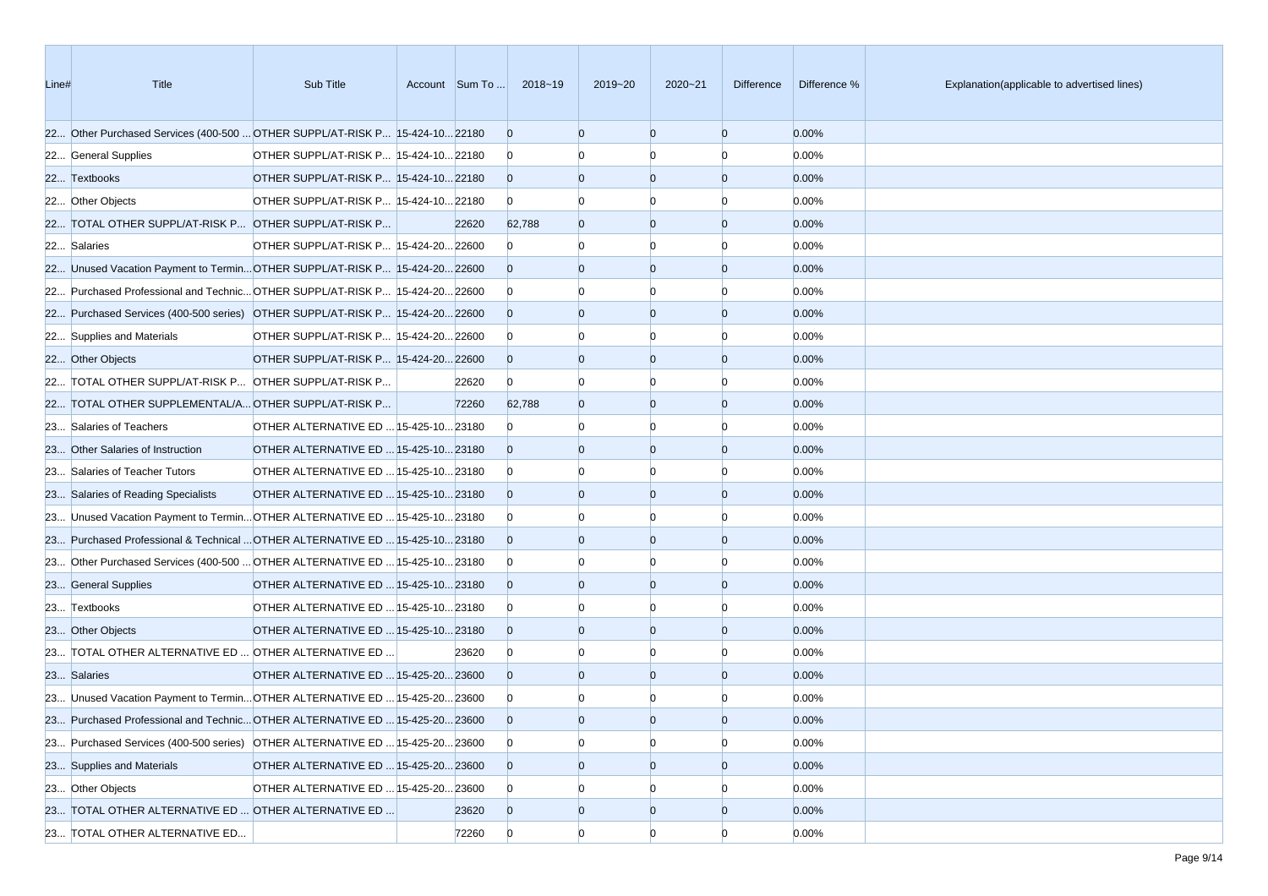| Line# | <b>Title</b>                                                                 | Sub Title                             | Account Sum To | 2018~19        | 2019~20        | $2020 - 21$    | Difference     | Difference % | Explanation(applicable to advertised lines) |
|-------|------------------------------------------------------------------------------|---------------------------------------|----------------|----------------|----------------|----------------|----------------|--------------|---------------------------------------------|
|       | 22 Other Purchased Services (400-500  OTHER SUPPL/AT-RISK P 15-424-10 22180  |                                       |                | $\overline{0}$ | $\Omega$       | $\overline{0}$ | $\overline{0}$ | 0.00%        |                                             |
|       | 22 General Supplies                                                          | OTHER SUPPL/AT-RISK P 15-424-10 22180 |                | $\overline{0}$ |                | $\Omega$       | $\Omega$       | 0.00%        |                                             |
|       | 22 Textbooks                                                                 | OTHER SUPPL/AT-RISK P 15-424-10 22180 |                | $\overline{0}$ | $\Omega$       | $\overline{0}$ | $\overline{0}$ | 0.00%        |                                             |
|       | 22 Other Objects                                                             | OTHER SUPPL/AT-RISK P 15-424-10 22180 |                | $\overline{0}$ |                |                | n              | 0.00%        |                                             |
|       | 22 TOTAL OTHER SUPPL/AT-RISK P OTHER SUPPL/AT-RISK P                         |                                       | 22620          | 62,788         | $\Omega$       | $\overline{0}$ | $\overline{0}$ | 0.00%        |                                             |
|       | 22 Salaries                                                                  | OTHER SUPPL/AT-RISK P 15-424-20 22600 |                | $\overline{0}$ |                | $\Omega$       | n              | 0.00%        |                                             |
|       | 22 Unused Vacation Payment to TerminOTHER SUPPL/AT-RISK P 15-424-2022600     |                                       |                | $\overline{0}$ | $\Omega$       | $\overline{0}$ | $\overline{0}$ | 0.00%        |                                             |
|       | 22 Purchased Professional and Technic OTHER SUPPL/AT-RISK P 15-424-20 22600  |                                       |                | $\overline{0}$ |                | $\Omega$       | n              | 0.00%        |                                             |
|       | 22 Purchased Services (400-500 series) OTHER SUPPL/AT-RISK P 15-424-20 22600 |                                       |                | $\overline{0}$ | $\Omega$       | $\overline{0}$ | $\overline{0}$ | 0.00%        |                                             |
|       | 22 Supplies and Materials                                                    | OTHER SUPPL/AT-RISK P 15-424-20 22600 |                | $\overline{0}$ |                | $\Omega$       | n              | 0.00%        |                                             |
|       | 22 Other Objects                                                             | OTHER SUPPL/AT-RISK P 15-424-20 22600 |                | $\overline{0}$ | $\Omega$       | $\overline{0}$ | $\overline{0}$ | 0.00%        |                                             |
|       | 22 TOTAL OTHER SUPPL/AT-RISK P OTHER SUPPL/AT-RISK P                         |                                       | 22620          | $\overline{0}$ | n              | n              | n              | 0.00%        |                                             |
|       | 22 TOTAL OTHER SUPPLEMENTAL/A OTHER SUPPL/AT-RISK P                          |                                       | 72260          | 62,788         | $\Omega$       | $\overline{0}$ | $\overline{0}$ | 0.00%        |                                             |
|       | 23 Salaries of Teachers                                                      | OTHER ALTERNATIVE ED  15-425-10 23180 |                | $\overline{0}$ |                | $\Omega$       | n              | 0.00%        |                                             |
|       | 23 Other Salaries of Instruction                                             | OTHER ALTERNATIVE ED  15-425-10 23180 |                | $\Omega$       | $\Omega$       | $\overline{0}$ | $\overline{0}$ | 0.00%        |                                             |
|       | 23 Salaries of Teacher Tutors                                                | OTHER ALTERNATIVE ED  15-425-10 23180 |                | $\overline{0}$ |                |                | n              | 0.00%        |                                             |
|       | 23 Salaries of Reading Specialists                                           | OTHER ALTERNATIVE ED  15-425-10 23180 |                | $\overline{0}$ | $\Omega$       | $\overline{0}$ | $\overline{0}$ | 0.00%        |                                             |
|       | 23 Unused Vacation Payment to Termin OTHER ALTERNATIVE ED  15-425-10 23180   |                                       |                | $\overline{0}$ |                | $\Omega$       | n              | 0.00%        |                                             |
|       | 23 Purchased Professional & Technical  OTHER ALTERNATIVE ED  15-425-10 23180 |                                       |                | $\overline{0}$ | $\Omega$       | $\overline{0}$ | $\overline{0}$ | 0.00%        |                                             |
|       | 23 Other Purchased Services (400-500  OTHER ALTERNATIVE ED  15-425-10 23180  |                                       |                | $\overline{0}$ |                | $\Omega$       | n              | 0.00%        |                                             |
|       | 23 General Supplies                                                          | OTHER ALTERNATIVE ED  15-425-10 23180 |                | $\overline{0}$ | $\Omega$       | $\overline{0}$ | $\overline{0}$ | 0.00%        |                                             |
|       | 23 Textbooks                                                                 | OTHER ALTERNATIVE ED  15-425-10 23180 |                | $\overline{0}$ |                | n              | n              | 0.00%        |                                             |
|       | 23 Other Objects                                                             | OTHER ALTERNATIVE ED  15-425-10 23180 |                | $\overline{0}$ | $\Omega$       | $\Omega$       | $\overline{0}$ | 0.00%        |                                             |
|       | 23 TOTAL OTHER ALTERNATIVE ED  OTHER ALTERNATIVE ED                          |                                       | 23620          | $\overline{0}$ |                | $\Omega$       | n              | 0.00%        |                                             |
|       | 23 Salaries                                                                  | OTHER ALTERNATIVE ED  15-425-20 23600 |                | $\overline{0}$ | $\Omega$       | $\overline{0}$ | $\overline{0}$ | 0.00%        |                                             |
|       | 23 Unused Vacation Payment to Termin OTHER ALTERNATIVE ED  15-425-20 23600   |                                       |                | $\mathbf{0}$   |                |                |                | 0.00%        |                                             |
|       | 23 Purchased Professional and Technic OTHER ALTERNATIVE ED  15-425-20 23600  |                                       |                | $\Omega$       |                | $\Omega$       | $\Omega$       | 0.00%        |                                             |
|       | 23 Purchased Services (400-500 series) OTHER ALTERNATIVE ED  15-425-20 23600 |                                       |                | $\overline{0}$ | $\Omega$       | $\overline{0}$ | $\Omega$       | 0.00%        |                                             |
|       | 23 Supplies and Materials                                                    | OTHER ALTERNATIVE ED  15-425-20 23600 |                | $\overline{0}$ | $\overline{0}$ | $\overline{0}$ | $\overline{0}$ | 0.00%        |                                             |
|       | 23 Other Objects                                                             | OTHER ALTERNATIVE ED  15-425-20 23600 |                | $\overline{0}$ | $\Omega$       | $\Omega$       |                | 0.00%        |                                             |
|       | 23 TOTAL OTHER ALTERNATIVE ED  OTHER ALTERNATIVE ED                          |                                       | 23620          | $\overline{0}$ | $\overline{0}$ | $\overline{0}$ | $\overline{0}$ | 0.00%        |                                             |
|       | 23 TOTAL OTHER ALTERNATIVE ED                                                |                                       | 72260          | $\overline{0}$ | $\overline{0}$ | $\overline{0}$ | $\Omega$       | 0.00%        |                                             |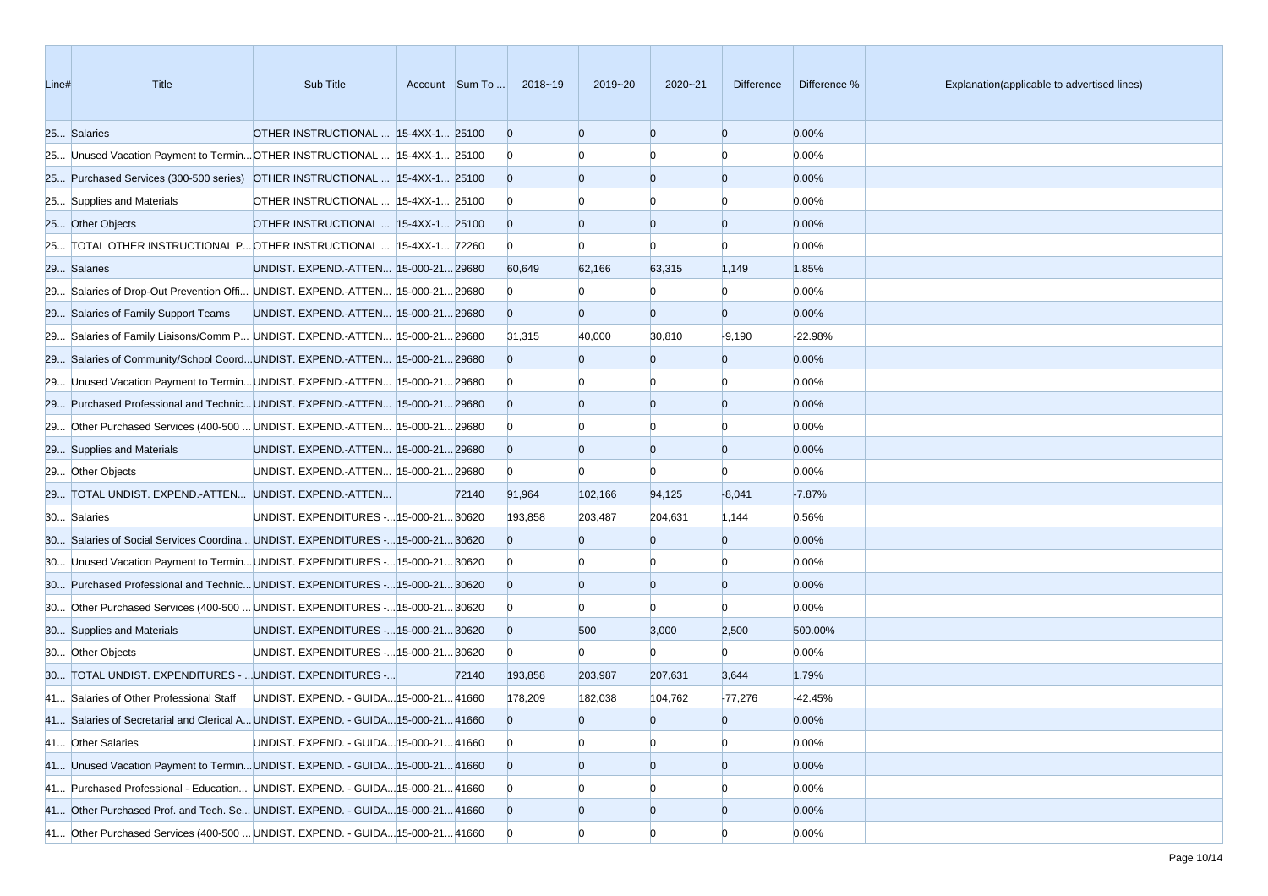| Line# | Title                                                                             | Sub Title                               |       | Account Sum To  2018~19 | 2019~20        | $2020 - 21$    | <b>Difference</b> | Difference % | Explanation(applicable to advertised lines) |
|-------|-----------------------------------------------------------------------------------|-----------------------------------------|-------|-------------------------|----------------|----------------|-------------------|--------------|---------------------------------------------|
|       | 25 Salaries                                                                       | OTHER INSTRUCTIONAL  15-4XX-1 25100     |       | $\overline{0}$          | $\Omega$       | $\Omega$       | $\overline{0}$    | 0.00%        |                                             |
|       | 25 Unused Vacation Payment to Termin OTHER INSTRUCTIONAL  15-4XX-1 25100          |                                         |       | $\mathbf{0}$            |                | $\Omega$       | $\Omega$          | 0.00%        |                                             |
|       | 25 Purchased Services (300-500 series) OTHER INSTRUCTIONAL  15-4XX-1 25100        |                                         |       | $\overline{0}$          | $\Omega$       | $\overline{0}$ | $\overline{0}$    | 0.00%        |                                             |
|       | 25 Supplies and Materials                                                         | OTHER INSTRUCTIONAL  15-4XX-1 25100     |       | $\bf{0}$                |                |                | n                 | 0.00%        |                                             |
|       | 25 Other Objects                                                                  | OTHER INSTRUCTIONAL  15-4XX-1 25100     |       | $\overline{0}$          | $\Omega$       | $\overline{0}$ | $\overline{0}$    | 0.00%        |                                             |
|       | 25 TOTAL OTHER INSTRUCTIONAL P OTHER INSTRUCTIONAL  15-4XX-1 72260                |                                         |       | $\overline{0}$          | $\Omega$       | $\Omega$       | $\Omega$          | 0.00%        |                                             |
|       | 29 Salaries                                                                       | UNDIST. EXPEND.-ATTEN 15-000-2129680    |       | 60,649                  | 62,166         | 63,315         | 1,149             | 1.85%        |                                             |
|       | 29 Salaries of Drop-Out Prevention Offi UNDIST. EXPEND.-ATTEN 15-000-21 29680     |                                         |       | $\bf{0}$                | n              | $\Omega$       | $\Omega$          | 0.00%        |                                             |
|       | 29 Salaries of Family Support Teams                                               | UNDIST. EXPEND.-ATTEN 15-000-21 29680   |       | $\overline{0}$          | $\Omega$       | $\overline{0}$ | $\overline{0}$    | 0.00%        |                                             |
|       | 29 Salaries of Family Liaisons/Comm P UNDIST. EXPEND.-ATTEN 15-000-21 29680       |                                         |       | 31,315                  | 40,000         | 30,810         | $-9,190$          | -22.98%      |                                             |
|       | 29 Salaries of Community/School CoordUNDIST. EXPEND.-ATTEN 15-000-2129680         |                                         |       | $\overline{0}$          | $\Omega$       | $\overline{0}$ | $\overline{0}$    | 0.00%        |                                             |
|       | 29 Unused Vacation Payment to Termin UNDIST. EXPEND.-ATTEN 15-000-21 29680        |                                         |       | $\overline{0}$          |                |                | $\Omega$          | 0.00%        |                                             |
|       | 29 Purchased Professional and Technic UNDIST. EXPEND.-ATTEN 15-000-21 29680       |                                         |       | $\overline{0}$          | $\Omega$       | $\overline{0}$ | $\overline{0}$    | 0.00%        |                                             |
|       | 29 Other Purchased Services (400-500  UNDIST. EXPEND.-ATTEN  15-000-21 29680      |                                         |       | $\overline{0}$          |                | $\Omega$       | $\Omega$          | 0.00%        |                                             |
|       | 29 Supplies and Materials                                                         | UNDIST. EXPEND.-ATTEN 15-000-21 29680   |       | $\overline{0}$          | $\Omega$       | $\overline{0}$ | $\overline{0}$    | 0.00%        |                                             |
|       | 29 Other Objects                                                                  | UNDIST. EXPEND.-ATTEN  15-000-21 29680  |       | $\overline{0}$          | $\Omega$       | $\Omega$       | $\Omega$          | 0.00%        |                                             |
|       | 29 TOTAL UNDIST. EXPEND.-ATTEN UNDIST. EXPEND.-ATTEN                              |                                         | 72140 | 91,964                  | 102,166        | 94,125         | $-8,041$          | $-7.87%$     |                                             |
|       | 30 Salaries                                                                       | UNDIST. EXPENDITURES - 15-000-21 30620  |       | 193,858                 | 203,487        | 204,631        | 1,144             | 0.56%        |                                             |
|       | 30 Salaries of Social Services Coordina UNDIST. EXPENDITURES - 15-000-21 30620    |                                         |       | $\Omega$                | $\Omega$       | $\overline{0}$ | $\overline{0}$    | 0.00%        |                                             |
|       | 30 Unused Vacation Payment to Termin UNDIST. EXPENDITURES - 15-000-21 30620       |                                         |       | $\bf{0}$                |                |                | $\Omega$          | 0.00%        |                                             |
|       | 30 Purchased Professional and Technic UNDIST. EXPENDITURES - 15-000-21 30620      |                                         |       | $\overline{0}$          | $\Omega$       | $\overline{0}$ | $\overline{0}$    | 0.00%        |                                             |
|       | 30 Other Purchased Services (400-500  UNDIST. EXPENDITURES - 15-000-21 30620      |                                         |       | $\overline{0}$          |                | $\Omega$       | $\Omega$          | 0.00%        |                                             |
|       | 30 Supplies and Materials                                                         | UNDIST. EXPENDITURES - 15-000-21 30620  |       | $\overline{0}$          | 500            | 3,000          | 2,500             | 500.00%      |                                             |
|       | 30 Other Objects                                                                  | UNDIST. EXPENDITURES - 15-000-21 30620  |       | $\overline{0}$          | $\overline{0}$ | $\Omega$       | $\Omega$          | 0.00%        |                                             |
|       | 30 TOTAL UNDIST. EXPENDITURES -  UNDIST. EXPENDITURES -                           |                                         | 72140 | 193,858                 | 203,987        | 207,631        | 3,644             | 1.79%        |                                             |
|       | 41 Salaries of Other Professional Staff                                           | UNDIST. EXPEND. - GUIDA 15-000-21 41660 |       | 178,209                 | 182,038        | 104,762        | $-77,276$         | -42.45%      |                                             |
|       | 41 Salaries of Secretarial and Clerical A UNDIST. EXPEND. - GUIDA 15-000-21 41660 |                                         |       | $\overline{0}$          | $\overline{0}$ | $\overline{0}$ | $\overline{0}$    | 0.00%        |                                             |
|       | 41 Other Salaries                                                                 | UNDIST. EXPEND. - GUIDA 15-000-21 41660 |       | $\overline{0}$          | $\Omega$       | $\overline{0}$ | $\overline{0}$    | 0.00%        |                                             |
|       | 41 Unused Vacation Payment to Termin UNDIST. EXPEND. - GUIDA 15-000-21 41660      |                                         |       | $\overline{0}$          | $\overline{0}$ | $\overline{0}$ | $\overline{0}$    | 0.00%        |                                             |
|       | 41 Purchased Professional - Education UNDIST. EXPEND. - GUIDA 15-000-21 41660     |                                         |       | $\overline{0}$          |                |                | $\Omega$          | 0.00%        |                                             |
|       | 41 Other Purchased Prof. and Tech. Se UNDIST. EXPEND. - GUIDA 15-000-21 41660     |                                         |       | $\overline{0}$          | $\overline{0}$ | $\overline{0}$ | $\overline{0}$    | 0.00%        |                                             |
|       | 41 Other Purchased Services (400-500  UNDIST. EXPEND. - GUIDA 15-000-21 41660     |                                         |       | $\overline{0}$          | $\Omega$       | $\overline{0}$ | $\overline{0}$    | 0.00%        |                                             |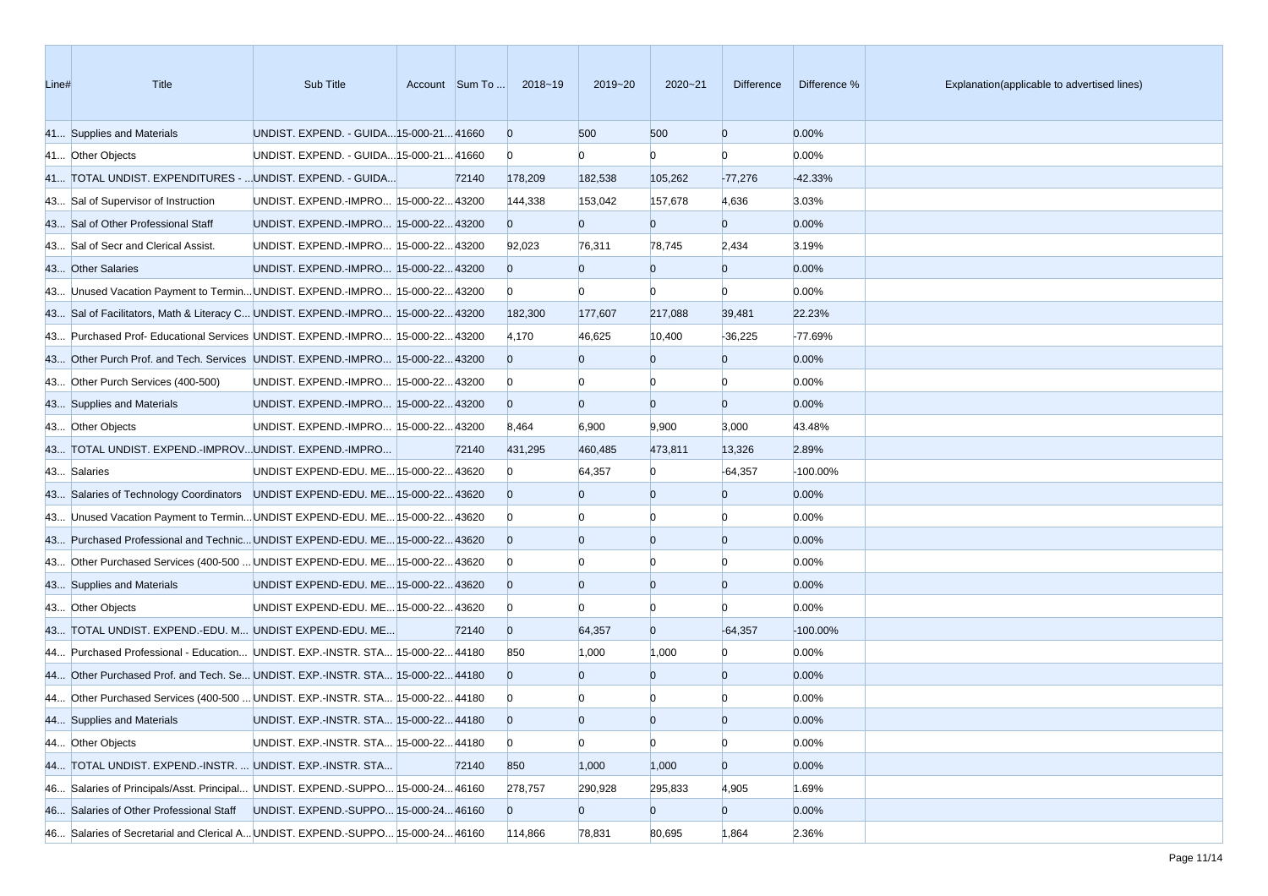| Line# | Title                                                                           | Sub Title                               | Account Sum To | 2018~19        | 2019~20        | $2020 - 21$    | Difference     | Difference % | Explanation(applicable to advertised lines) |
|-------|---------------------------------------------------------------------------------|-----------------------------------------|----------------|----------------|----------------|----------------|----------------|--------------|---------------------------------------------|
|       | 41 Supplies and Materials                                                       | UNDIST. EXPEND. - GUIDA 15-000-21 41660 |                | $\overline{0}$ | 500            | 500            | $\overline{0}$ | 0.00%        |                                             |
|       | 41 Other Objects                                                                | UNDIST. EXPEND. - GUIDA 15-000-21 41660 |                | $\mathbf{0}$   | $\Omega$       | n              | $\Omega$       | 0.00%        |                                             |
|       | 41 TOTAL UNDIST. EXPENDITURES -  UNDIST. EXPEND. - GUIDA                        |                                         | 72140          | 178,209        | 182,538        | 105,262        | $-77,276$      | $-42.33%$    |                                             |
|       | 43 Sal of Supervisor of Instruction                                             | UNDIST. EXPEND.-IMPRO 15-000-22 43200   |                | 144,338        | 153,042        | 157,678        | 4,636          | 3.03%        |                                             |
|       | 43 Sal of Other Professional Staff                                              | UNDIST. EXPEND.-IMPRO 15-000-22 43200   |                | $\Omega$       | $\overline{0}$ | $\overline{0}$ | $\overline{0}$ | 0.00%        |                                             |
|       | 43 Sal of Secr and Clerical Assist.                                             | UNDIST. EXPEND.-IMPRO 15-000-22 43200   |                | 92,023         | 76,311         | 78,745         | 2,434          | 3.19%        |                                             |
|       | 43 Other Salaries                                                               | UNDIST. EXPEND.-IMPRO 15-000-22 43200   |                | $\overline{0}$ | $\overline{0}$ | $\overline{0}$ | $\overline{0}$ | 0.00%        |                                             |
|       | 43 Unused Vacation Payment to Termin UNDIST. EXPEND.-IMPRO 15-000-22 43200      |                                         |                | $\mathbf{0}$   | $\overline{0}$ | $\Omega$       | $\Omega$       | 0.00%        |                                             |
|       | 43 Sal of Facilitators, Math & Literacy C UNDIST. EXPEND.-IMPRO 15-000-22 43200 |                                         |                | 182,300        | 177,607        | 217,088        | 39,481         | 22.23%       |                                             |
|       | 43 Purchased Prof- Educational Services UNDIST. EXPEND.-IMPRO 15-000-22 43200   |                                         |                | 4,170          | 46,625         | 10,400         | $-36,225$      | -77.69%      |                                             |
|       | 43 Other Purch Prof. and Tech. Services UNDIST. EXPEND.-IMPRO 15-000-22 43200   |                                         |                | $\overline{0}$ | $\mathbf{0}$   | $\overline{0}$ | $\overline{0}$ | 0.00%        |                                             |
|       | 43 Other Purch Services (400-500)                                               | UNDIST. EXPEND.-IMPRO 15-000-22 43200   |                | $\bf{0}$       | $\Omega$       | n              | n              | 0.00%        |                                             |
|       | 43 Supplies and Materials                                                       | UNDIST. EXPEND.-IMPRO 15-000-22 43200   |                | $\overline{0}$ | $\Omega$       | $\overline{0}$ | $\overline{0}$ | 0.00%        |                                             |
|       | 43 Other Objects                                                                | UNDIST. EXPEND.-IMPRO 15-000-22 43200   |                | 8,464          | 6,900          | 9,900          | 3,000          | 43.48%       |                                             |
|       | 43 TOTAL UNDIST. EXPEND.-IMPROVUNDIST. EXPEND.-IMPRO                            |                                         | 72140          | 431,295        | 460,485        | 473,811        | 13,326         | 2.89%        |                                             |
|       | 43 Salaries                                                                     | UNDIST EXPEND-EDU. ME 15-000-22 43620   |                | $\bf{0}$       | 64,357         | $\overline{0}$ | $-64,357$      | $-100.00%$   |                                             |
|       | 43 Salaries of Technology Coordinators UNDIST EXPEND-EDU. ME 15-000-22 43620    |                                         |                | $\Omega$       |                | $\overline{0}$ | $\overline{0}$ | 0.00%        |                                             |
|       | 43 Unused Vacation Payment to Termin UNDIST EXPEND-EDU. ME 15-000-22 43620      |                                         |                | $\bf{0}$       |                | n              | n              | 0.00%        |                                             |
|       | 43 Purchased Professional and Technic UNDIST EXPEND-EDU. ME 15-000-22 43620     |                                         |                | $\overline{0}$ | $\Omega$       | $\overline{0}$ | $\overline{0}$ | 0.00%        |                                             |
|       | 43 Other Purchased Services (400-500  UNDIST EXPEND-EDU. ME 15-000-22 43620     |                                         |                | $\bf{0}$       |                | n              | n              | 0.00%        |                                             |
|       | 43 Supplies and Materials                                                       | UNDIST EXPEND-EDU. ME 15-000-22 43620   |                | $\overline{0}$ | $\Omega$       | $\overline{0}$ | $\overline{0}$ | 0.00%        |                                             |
|       | 43 Other Objects                                                                | UNDIST EXPEND-EDU. ME 15-000-22 43620   |                | $\bf{0}$       |                | $\overline{0}$ | $\Omega$       | 0.00%        |                                             |
|       | 43 TOTAL UNDIST. EXPEND.-EDU. M UNDIST EXPEND-EDU. ME                           |                                         | 72140          | $\overline{0}$ | 64,357         | $\overline{0}$ | $-64,357$      | $-100.00\%$  |                                             |
|       | 44 Purchased Professional - Education UNDIST. EXP.-INSTR. STA 15-000-22 44180   |                                         |                | 850            | 1,000          | 1,000          | $\Omega$       | 0.00%        |                                             |
|       | 44 Other Purchased Prof. and Tech. Se UNDIST. EXP.-INSTR. STA 15-000-22 44180   |                                         |                | $\Omega$       |                | $\overline{0}$ | $\overline{0}$ | 0.00%        |                                             |
|       | 44 Other Purchased Services (400-500  UNDIST. EXP.-INSTR. STA 15-000-22 44180   |                                         |                | $\bf{0}$       |                |                |                | 0.00%        |                                             |
|       | 44 Supplies and Materials                                                       | UNDIST. EXP.-INSTR. STA 15-000-2244180  |                | $\overline{0}$ | $\Omega$       | $\Omega$       | $\Omega$       | 0.00%        |                                             |
|       | 44 Other Objects                                                                | UNDIST. EXP.-INSTR. STA 15-000-22 44180 |                | $\mathbf{0}$   | $\bf{0}$       | $\overline{0}$ | $\bf{0}$       | 0.00%        |                                             |
|       | 44 TOTAL UNDIST. EXPEND.-INSTR.  UNDIST. EXP.-INSTR. STA                        |                                         | 72140          | 850            | 1,000          | 1,000          | $\overline{0}$ | 0.00%        |                                             |
|       | 46 Salaries of Principals/Asst. Principal UNDIST. EXPEND.-SUPPO 15-000-2446160  |                                         |                | 278,757        | 290,928        | 295,833        | 4,905          | 1.69%        |                                             |
|       | 46 Salaries of Other Professional Staff UNDIST. EXPEND.-SUPPO 15-000-24 46160   |                                         |                | $\overline{0}$ | $\mathbf{0}$   | $\overline{0}$ | $\overline{0}$ | 0.00%        |                                             |
|       | 46 Salaries of Secretarial and Clerical A UNDIST. EXPEND.-SUPPO 15-000-2446160  |                                         |                | 114,866        | 78,831         | 80,695         | 1,864          | 2.36%        |                                             |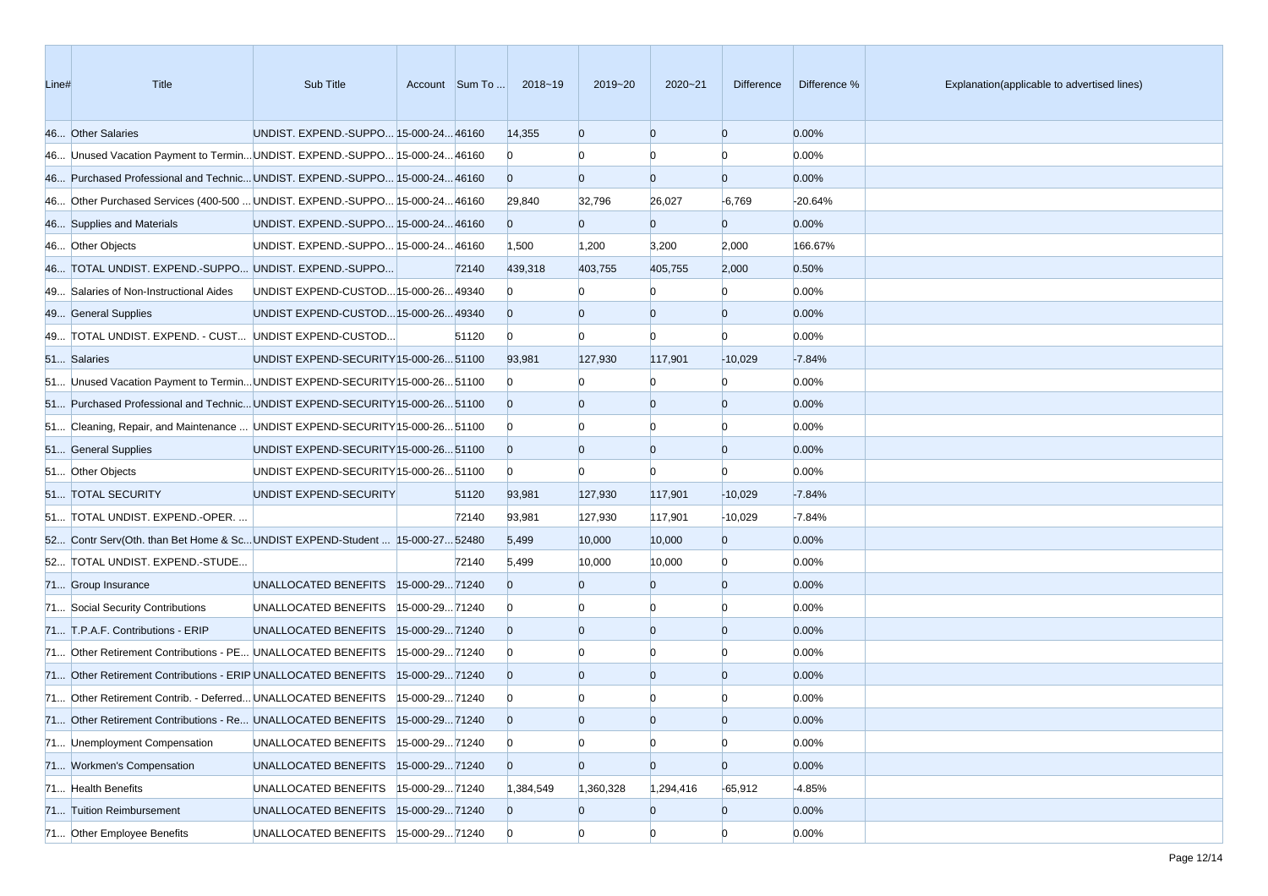| Line# | <b>Title</b>                                                                  | Sub Title                              |                | Account Sum To | 2018~19        | 2019~20        | $2020 - 21$    | Difference     | Difference % | Explanation(applicable to advertised lines) |
|-------|-------------------------------------------------------------------------------|----------------------------------------|----------------|----------------|----------------|----------------|----------------|----------------|--------------|---------------------------------------------|
|       | 46 Other Salaries                                                             | UNDIST. EXPEND.-SUPPO 15-000-24 46160  |                |                | 14,355         | $\overline{0}$ | $\overline{0}$ | $\overline{0}$ | 0.00%        |                                             |
|       | 46 Unused Vacation Payment to Termin UNDIST. EXPEND.-SUPPO 15-000-24 46160    |                                        |                |                | $\Omega$       | $\Omega$       | $\Omega$       | $\Omega$       | 0.00%        |                                             |
|       | 46 Purchased Professional and Technic UNDIST. EXPEND.-SUPPO 15-000-24 46160   |                                        |                |                | $\Omega$       | $\overline{0}$ | $\overline{0}$ | $\overline{0}$ | 0.00%        |                                             |
|       | 46 Other Purchased Services (400-500  UNDIST. EXPEND.-SUPPO 15-000-24 46160   |                                        |                |                | 29,840         | 32,796         | 26,027         | $-6,769$       | $-20.64%$    |                                             |
|       | 46 Supplies and Materials                                                     | UNDIST. EXPEND.-SUPPO 15-000-24 46160  |                |                | $\Omega$       | $\mathbf{0}$   | $\overline{0}$ | $\overline{0}$ | 0.00%        |                                             |
|       | 46 Other Objects                                                              | UNDIST. EXPEND.-SUPPO 15-000-24 46160  |                |                | 1,500          | 1,200          | 3,200          | 2,000          | 166.67%      |                                             |
|       | 46 TOTAL UNDIST. EXPEND.-SUPPO UNDIST. EXPEND.-SUPPO                          |                                        |                | 72140          | 439,318        | 403,755        | 405,755        | 2,000          | 0.50%        |                                             |
|       | 49 Salaries of Non-Instructional Aides                                        | UNDIST EXPEND-CUSTOD 15-000-26 49340   |                |                | $\Omega$       |                | $\Omega$       | $\Omega$       | 0.00%        |                                             |
|       | 49 General Supplies                                                           | UNDIST EXPEND-CUSTOD 15-000-26 49340   |                |                | $\Omega$       | $\Omega$       | $\overline{0}$ | $\overline{0}$ | 0.00%        |                                             |
|       | 49 TOTAL UNDIST. EXPEND. - CUST UNDIST EXPEND-CUSTOD                          |                                        |                | 51120          | $\overline{0}$ | $\Omega$       | $\Omega$       | $\Omega$       | 0.00%        |                                             |
|       | 51 Salaries                                                                   | UNDIST EXPEND-SECURITY 15-000-26 51100 |                |                | 93,981         | 127,930        | 117,901        | $-10,029$      | $-7.84%$     |                                             |
|       | 51 Unused Vacation Payment to Termin UNDIST EXPEND-SECURITY 15-000-26 51100   |                                        |                |                | $\mathbf{0}$   |                | $\Omega$       | $\Omega$       | 0.00%        |                                             |
|       | 51 Purchased Professional and Technic UNDIST EXPEND-SECURITY 15-000-26 51100  |                                        |                |                | $\overline{0}$ | $\Omega$       | $\overline{0}$ | $\overline{0}$ | 0.00%        |                                             |
|       | 51 Cleaning, Repair, and Maintenance  UNDIST EXPEND-SECURITY [15-000-26 51100 |                                        |                |                | $\overline{0}$ |                | $\Omega$       | $\Omega$       | 0.00%        |                                             |
|       | 51 General Supplies                                                           | UNDIST EXPEND-SECURITY 15-000-26 51100 |                |                | $\overline{0}$ | $\overline{0}$ | $\overline{0}$ | $\overline{0}$ | 0.00%        |                                             |
|       | 51 Other Objects                                                              | UNDIST EXPEND-SECURITY 15-000-26 51100 |                |                | $\overline{0}$ | $\Omega$       | $\Omega$       | $\Omega$       | 0.00%        |                                             |
|       | 51 TOTAL SECURITY                                                             | UNDIST EXPEND-SECURITY                 |                | 51120          | 93,981         | 127,930        | 117,901        | $-10,029$      | $-7.84%$     |                                             |
|       | 51 TOTAL UNDIST. EXPEND.-OPER.                                                |                                        |                | 72140          | 93,981         | 127,930        | 117,901        | $-10,029$      | $-7.84%$     |                                             |
|       | 52 Contr Serv(Oth. than Bet Home & ScUNDIST EXPEND-Student  15-000-2752480    |                                        |                |                | 5,499          | 10,000         | 10,000         | $\overline{0}$ | 0.00%        |                                             |
|       | 52 TOTAL UNDIST. EXPEND.-STUDE                                                |                                        |                | 72140          | 5,499          | 10,000         | 10,000         | $\overline{0}$ | 0.00%        |                                             |
|       | 71 Group Insurance                                                            | UNALLOCATED BENEFITS  15-000-2971240   |                |                | $\Omega$       | $\Omega$       | $\overline{0}$ | $\overline{0}$ | 0.00%        |                                             |
|       | 71 Social Security Contributions                                              | UNALLOCATED BENEFITS                   | 15-000-2971240 |                | $\bf{0}$       |                | $\Omega$       | $\Omega$       | 0.00%        |                                             |
|       | 71 T.P.A.F. Contributions - ERIP                                              | UNALLOCATED BENEFITS  15-000-2971240   |                |                | $\Omega$       | $\Omega$       | $\overline{0}$ | $\overline{0}$ | 0.00%        |                                             |
|       | 71 Other Retirement Contributions - PE UNALLOCATED BENEFITS                   |                                        | 15-000-2971240 |                | $\overline{0}$ |                | $\Omega$       | $\Omega$       | 0.00%        |                                             |
|       | 71 Other Retirement Contributions - ERIP UNALLOCATED BENEFITS                 |                                        | 15-000-2971240 |                | $\Omega$       | $\Omega$       | $\overline{0}$ | $\overline{0}$ | 0.00%        |                                             |
|       | 71 Other Retirement Contrib. - Deferred UNALLOCATED BENEFITS                  |                                        | 15-000-2971240 |                | $\bf{0}$       |                |                | n              | 0.00%        |                                             |
|       | 71 Other Retirement Contributions - Re UNALLOCATED BENEFITS  15-000-29 71240  |                                        |                |                | $\Omega$       | $\Omega$       | $\Omega$       | $\Omega$       | 0.00%        |                                             |
|       | 71 Unemployment Compensation                                                  | UNALLOCATED BENEFITS                   | 15-000-2971240 |                | $\overline{0}$ | $\overline{0}$ | $\overline{0}$ | $\overline{0}$ | 0.00%        |                                             |
|       | 71 Workmen's Compensation                                                     | UNALLOCATED BENEFITS                   | 15-000-2971240 |                | $\overline{0}$ | $\overline{0}$ | $\overline{0}$ | $\overline{0}$ | 0.00%        |                                             |
|       | 71 Health Benefits                                                            | UNALLOCATED BENEFITS                   | 15-000-2971240 |                | 1,384,549      | 1,360,328      | 1,294,416      | $-65,912$      | $-4.85%$     |                                             |
|       | 71 Tuition Reimbursement                                                      | UNALLOCATED BENEFITS 15-000-29 71240   |                |                | $\overline{0}$ | $\mathbf{0}$   | $\overline{0}$ | $\overline{0}$ | 0.00%        |                                             |
|       | 71 Other Employee Benefits                                                    | UNALLOCATED BENEFITS   15-000-29 71240 |                |                | $\overline{0}$ | $\overline{0}$ | $\overline{0}$ | $\overline{0}$ | 0.00%        |                                             |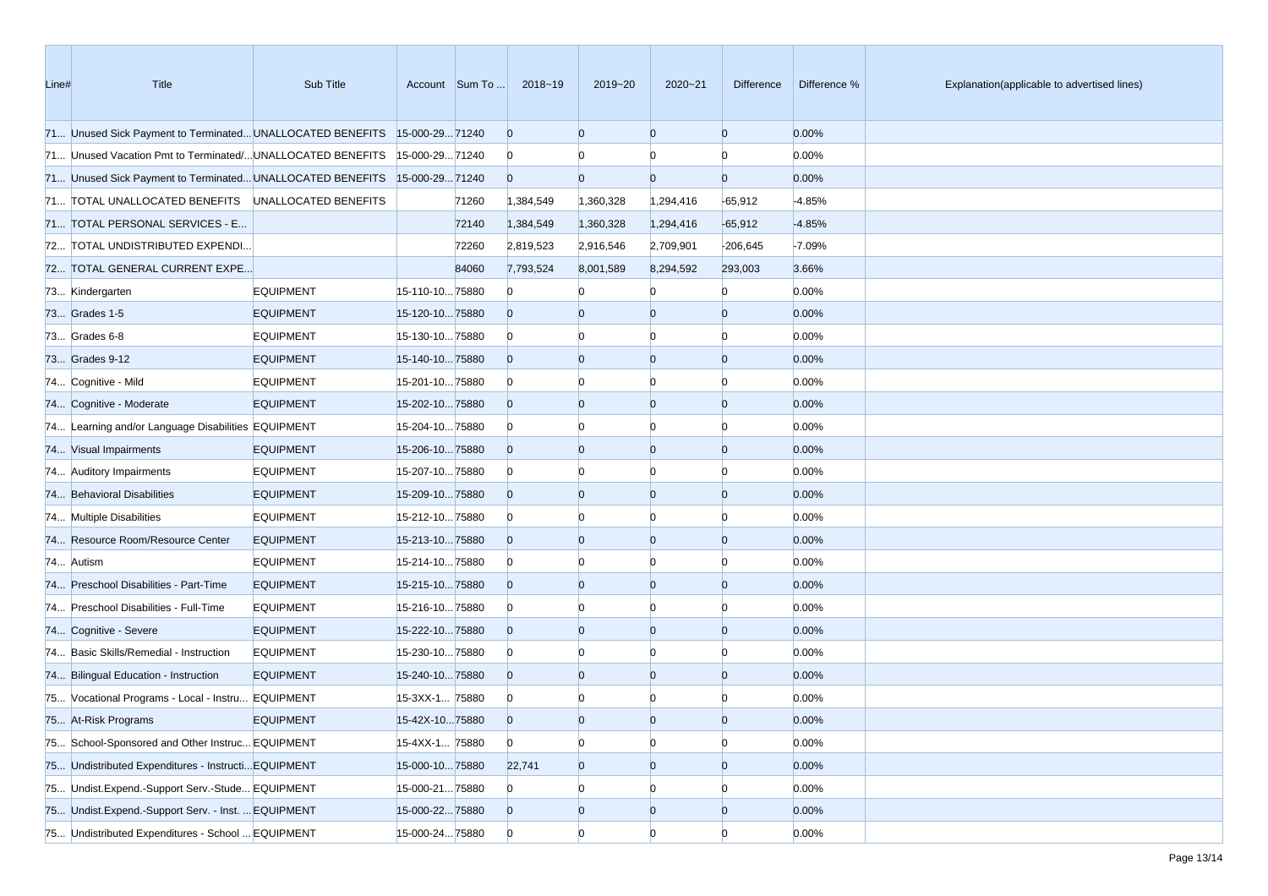| Line# | Title                                                                     | Sub Title        |                | Account Sum To | 2018~19        | 2019~20        | 2020~21        | <b>Difference</b> | Difference % | Explanation(applicable to advertised lines) |
|-------|---------------------------------------------------------------------------|------------------|----------------|----------------|----------------|----------------|----------------|-------------------|--------------|---------------------------------------------|
|       | 71 Unused Sick Payment to Terminated UNALLOCATED BENEFITS 15-000-29 71240 |                  |                |                | $\overline{0}$ | $\overline{0}$ | $\overline{0}$ | $\overline{0}$    | 0.00%        |                                             |
|       | 71 Unused Vacation Pmt to Terminated/ UNALLOCATED BENEFITS                |                  | 15-000-2971240 |                | $\bf{0}$       |                | $\Omega$       | $\Omega$          | 0.00%        |                                             |
|       | 71 Unused Sick Payment to Terminated UNALLOCATED BENEFITS 15-000-29 71240 |                  |                |                | $\overline{0}$ | $\Omega$       | $\overline{0}$ | $\overline{0}$    | 0.00%        |                                             |
|       | 71 TOTAL UNALLOCATED BENEFITS UNALLOCATED BENEFITS                        |                  |                | 71260          | 1,384,549      | 1,360,328      | 1,294,416      | $-65,912$         | $-4.85%$     |                                             |
|       | 71 TOTAL PERSONAL SERVICES - E                                            |                  |                | 72140          | 1,384,549      | 1,360,328      | 1,294,416      | $-65,912$         | $-4.85%$     |                                             |
|       | 72 TOTAL UNDISTRIBUTED EXPENDI                                            |                  |                | 72260          | 2,819,523      | 2,916,546      | 2,709,901      | $-206,645$        | $-7.09%$     |                                             |
|       | 72 TOTAL GENERAL CURRENT EXPE                                             |                  |                | 84060          | 7,793,524      | 8,001,589      | 8,294,592      | 293,003           | 3.66%        |                                             |
|       | 73 Kindergarten                                                           | <b>EQUIPMENT</b> | 15-110-1075880 |                | $\Omega$       |                | $\Omega$       | $\Omega$          | 0.00%        |                                             |
|       | 73 Grades 1-5                                                             | <b>EQUIPMENT</b> | 15-120-1075880 |                | $\overline{0}$ |                | $\bf{0}$       | $\Omega$          | 0.00%        |                                             |
|       | 73 Grades 6-8                                                             | <b>EQUIPMENT</b> | 15-130-1075880 |                | $\overline{0}$ |                | 0              | n                 | 0.00%        |                                             |
|       | 73 Grades 9-12                                                            | <b>EQUIPMENT</b> | 15-140-1075880 |                | $\overline{0}$ | $\Omega$       | $\overline{0}$ | $\Omega$          | 0.00%        |                                             |
|       | 74 Cognitive - Mild                                                       | <b>EQUIPMENT</b> | 15-201-1075880 |                | $\bf{0}$       |                | $\Omega$       | n                 | 0.00%        |                                             |
|       | 74 Cognitive - Moderate                                                   | <b>EQUIPMENT</b> | 15-202-1075880 |                | $\overline{0}$ | $\Omega$       | $\overline{0}$ | $\overline{0}$    | 0.00%        |                                             |
|       | 74 Learning and/or Language Disabilities EQUIPMENT                        |                  | 15-204-1075880 |                | $\bf{0}$       |                | $\bf{0}$       | n                 | 0.00%        |                                             |
|       | 74 Visual Impairments                                                     | <b>EQUIPMENT</b> | 15-206-1075880 |                | $\overline{0}$ | $\Omega$       | $\overline{0}$ | $\overline{0}$    | 0.00%        |                                             |
|       | 74 Auditory Impairments                                                   | <b>EQUIPMENT</b> | 15-207-1075880 |                | $\bf{0}$       |                | $\Omega$       | n                 | 0.00%        |                                             |
|       | 74 Behavioral Disabilities                                                | <b>EQUIPMENT</b> | 15-209-1075880 |                | $\overline{0}$ | 0              | $\overline{0}$ | $\Omega$          | 0.00%        |                                             |
|       | 74 Multiple Disabilities                                                  | <b>EQUIPMENT</b> | 15-212-1075880 |                | $\overline{0}$ |                | $\Omega$       | n                 | 0.00%        |                                             |
|       | 74 Resource Room/Resource Center                                          | <b>EQUIPMENT</b> | 15-213-1075880 |                | $\overline{0}$ | $\Omega$       | $\overline{0}$ | $\overline{0}$    | 0.00%        |                                             |
|       | 74 Autism                                                                 | <b>EQUIPMENT</b> | 15-214-1075880 |                | $\bf{0}$       |                | $\bf{0}$       | n                 | 0.00%        |                                             |
|       | 74 Preschool Disabilities - Part-Time                                     | <b>EQUIPMENT</b> | 15-215-1075880 |                | $\overline{0}$ | 0              | $\overline{0}$ | $\overline{0}$    | 0.00%        |                                             |
|       | 74 Preschool Disabilities - Full-Time                                     | <b>EQUIPMENT</b> | 15-216-1075880 |                | $\overline{0}$ |                | $\Omega$       | n                 | 0.00%        |                                             |
|       | 74 Cognitive - Severe                                                     | <b>EQUIPMENT</b> | 15-222-1075880 |                | $\overline{0}$ | $\Omega$       | $\overline{0}$ | $\Omega$          | 0.00%        |                                             |
|       | 74 Basic Skills/Remedial - Instruction                                    | <b>EQUIPMENT</b> | 15-230-1075880 |                | $\bf{0}$       |                | $\Omega$       | n                 | 0.00%        |                                             |
|       | 74 Bilingual Education - Instruction                                      | <b>EQUIPMENT</b> | 15-240-1075880 |                | $\overline{0}$ | $\Omega$       | $\overline{0}$ | $\Omega$          | 0.00%        |                                             |
|       | 75 Vocational Programs - Local - Instru EQUIPMENT                         |                  | 15-3XX-1 75880 |                | $\overline{0}$ |                |                |                   | 0.00%        |                                             |
|       | 75 At-Risk Programs                                                       | <b>EQUIPMENT</b> | 15-42X-1075880 |                | $\Omega$       | $\Omega$       | $\Omega$       | n                 | 0.00%        |                                             |
|       | 75 School-Sponsored and Other Instruc EQUIPMENT                           |                  | 15-4XX-1 75880 |                | $\overline{0}$ | $\bf{0}$       | $\overline{0}$ | $\overline{0}$    | 0.00%        |                                             |
|       | 75 Undistributed Expenditures - Instructi EQUIPMENT                       |                  | 15-000-1075880 |                | 22,741         | $\overline{0}$ | $\overline{0}$ | $\overline{0}$    | 0.00%        |                                             |
|       | 75 Undist.Expend.-Support Serv.-Stude EQUIPMENT                           |                  | 15-000-2175880 |                | $\overline{0}$ | $\bf{0}$       | $\overline{0}$ |                   | 0.00%        |                                             |
|       | 75 Undist.Expend.-Support Serv. - Inst.  EQUIPMENT                        |                  | 15-000-2275880 |                | $\overline{0}$ | $\overline{0}$ | $\overline{0}$ | $\overline{0}$    | 0.00%        |                                             |
|       | 75 Undistributed Expenditures - School  EQUIPMENT                         |                  | 15-000-2475880 |                | $\overline{0}$ | $\overline{0}$ | $\overline{0}$ | $\overline{0}$    | 0.00%        |                                             |